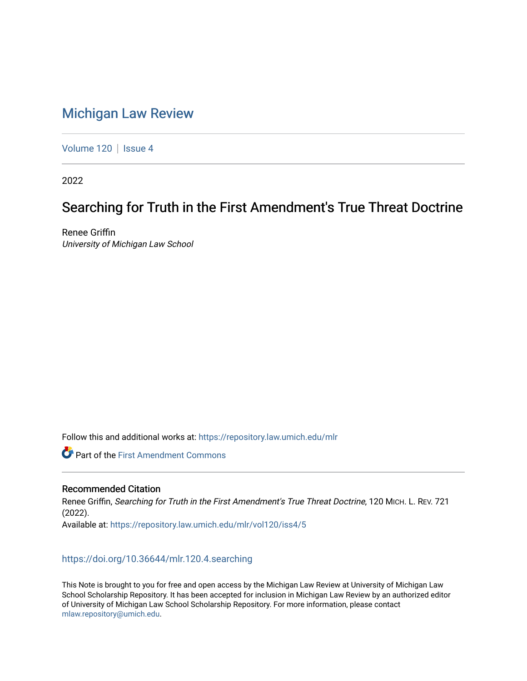# [Michigan Law Review](https://repository.law.umich.edu/mlr)

[Volume 120](https://repository.law.umich.edu/mlr/vol120) | [Issue 4](https://repository.law.umich.edu/mlr/vol120/iss4)

2022

# Searching for Truth in the First Amendment's True Threat Doctrine

Renee Griffin University of Michigan Law School

Follow this and additional works at: [https://repository.law.umich.edu/mlr](https://repository.law.umich.edu/mlr?utm_source=repository.law.umich.edu%2Fmlr%2Fvol120%2Fiss4%2F5&utm_medium=PDF&utm_campaign=PDFCoverPages) 

**C** Part of the First Amendment Commons

# Recommended Citation

Renee Griffin, Searching for Truth in the First Amendment's True Threat Doctrine, 120 MICH. L. REV. 721 (2022). Available at: [https://repository.law.umich.edu/mlr/vol120/iss4/5](https://repository.law.umich.edu/mlr/vol120/iss4/5?utm_source=repository.law.umich.edu%2Fmlr%2Fvol120%2Fiss4%2F5&utm_medium=PDF&utm_campaign=PDFCoverPages) 

# <https://doi.org/10.36644/mlr.120.4.searching>

This Note is brought to you for free and open access by the Michigan Law Review at University of Michigan Law School Scholarship Repository. It has been accepted for inclusion in Michigan Law Review by an authorized editor of University of Michigan Law School Scholarship Repository. For more information, please contact [mlaw.repository@umich.edu.](mailto:mlaw.repository@umich.edu)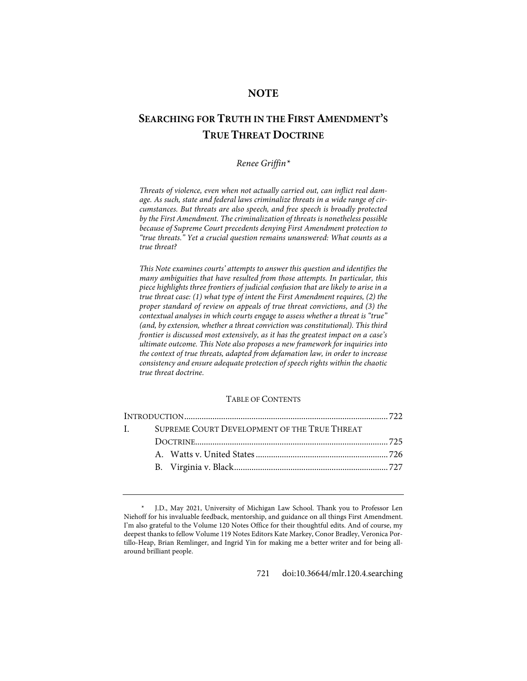# **NOTE**

# **SEARCHING FOR TRUTH IN THE FIRST AMENDMENT'S TRUE THREAT DOCTRINE**

# *Renee Griffin[\\*](#page-1-0)*

*Threats of violence, even when not actually carried out, can inflict real damage. As such, state and federal laws criminalize threats in a wide range of circumstances. But threats are also speech, and free speech is broadly protected by the First Amendment. The criminalization of threats is nonetheless possible because of Supreme Court precedents denying First Amendment protection to "true threats." Yet a crucial question remains unanswered: What counts as a true threat?*

*This Note examines courts' attempts to answer this question and identifies the many ambiguities that have resulted from those attempts. In particular, this piece highlights three frontiers of judicial confusion that are likely to arise in a true threat case: (1) what type of intent the First Amendment requires, (2) the proper standard of review on appeals of true threat convictions, and (3) the contextual analyses in which courts engage to assess whether a threat is "true" (and, by extension, whether a threat conviction was constitutional). This third frontier is discussed most extensively, as it has the greatest impact on a case's ultimate outcome. This Note also proposes a new framework for inquiries into the context of true threats, adapted from defamation law, in order to increase consistency and ensure adequate protection of speech rights within the chaotic true threat doctrine.*

## TABLE OF CONTENTS

| $\mathbf{I}$ . | SUPREME COURT DEVELOPMENT OF THE TRUE THREAT |  |
|----------------|----------------------------------------------|--|
|                |                                              |  |
|                |                                              |  |
|                |                                              |  |
|                |                                              |  |

721 [doi:10.36644/mlr.120.4.searching](https://doi.org/10.36644/mlr.120.4.searching)

<span id="page-1-0"></span>J.D., May 2021, University of Michigan Law School. Thank you to Professor Len Niehoff for his invaluable feedback, mentorship, and guidance on all things First Amendment. I'm also grateful to the Volume 120 Notes Office for their thoughtful edits. And of course, my deepest thanks to fellow Volume 119 Notes Editors Kate Markey, Conor Bradley, Veronica Portillo-Heap, Brian Remlinger, and Ingrid Yin for making me a better writer and for being allaround brilliant people.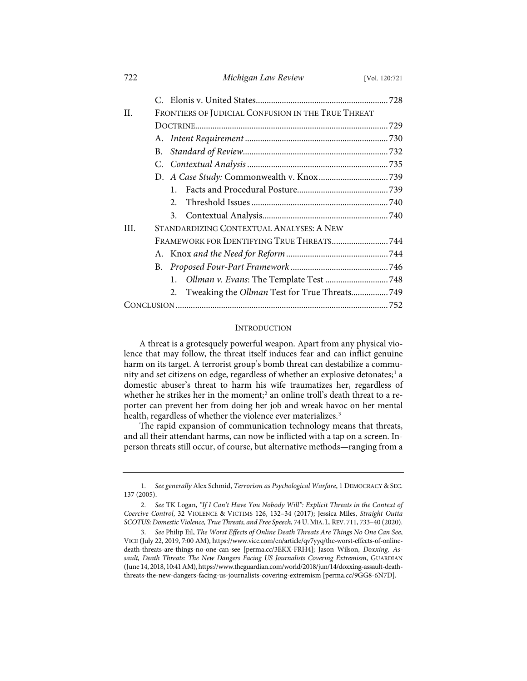| 722 | Michigan Law Review                                 | [Vol. 120:721] |  |  |  |
|-----|-----------------------------------------------------|----------------|--|--|--|
|     |                                                     |                |  |  |  |
| H.  | FRONTIERS OF JUDICIAL CONFUSION IN THE TRUE THREAT  |                |  |  |  |
|     |                                                     |                |  |  |  |
|     |                                                     |                |  |  |  |
|     | В.                                                  |                |  |  |  |
|     |                                                     |                |  |  |  |
|     |                                                     |                |  |  |  |
|     | $\mathbf{1}$                                        |                |  |  |  |
|     | $\mathfrak{D}$                                      |                |  |  |  |
|     |                                                     |                |  |  |  |
| HL. | STANDARDIZING CONTEXTUAL ANALYSES: A NEW            |                |  |  |  |
|     |                                                     |                |  |  |  |
|     |                                                     |                |  |  |  |
|     | В.                                                  |                |  |  |  |
|     |                                                     |                |  |  |  |
|     | Tweaking the Ollman Test for True Threats 749<br>2. |                |  |  |  |
|     |                                                     |                |  |  |  |

# INTRODUCTION

A threat is a grotesquely powerful weapon. Apart from any physical violence that may follow, the threat itself induces fear and can inflict genuine harm on its target. A terrorist group's bomb threat can destabilize a commu-nity and set citizens on edge, regardless of whether an explosive detonates;<sup>[1](#page-2-0)</sup> a domestic abuser's threat to harm his wife traumatizes her, regardless of whether he strikes her in the moment;<sup>[2](#page-2-1)</sup> an online troll's death threat to a reporter can prevent her from doing her job and wreak havoc on her mental health, regardless of whether the violence ever materializes.<sup>[3](#page-2-2)</sup>

The rapid expansion of communication technology means that threats, and all their attendant harms, can now be inflicted with a tap on a screen. Inperson threats still occur, of course, but alternative methods—ranging from a

<span id="page-2-0"></span><sup>1.</sup> *See generally* Alex Schmid, *Terrorism as Psychological Warfare*, 1 DEMOCRACY & SEC. 137 (2005).

<span id="page-2-1"></span><sup>2.</sup> *See* TK Logan, *"If I Can't Have You Nobody Will": Explicit Threats in the Context of Coercive Control*, 32 VIOLENCE & VICTIMS 126, 132–34 (2017); Jessica Miles, *Straight Outta SCOTUS: Domestic Violence, True Threats, and Free Speech*, 74 U.MIA. L.REV. 711, 733–40 (2020).

<span id="page-2-2"></span><sup>3.</sup> *See* Philip Eil, *The Worst Effects of Online Death Threats Are Things No One Can See*, VICE (July 22, 2019, 7:00 AM), [https://www.vice.com/en/article/qv7yyq/the-worst-effects-of-online](https://www.vice.com/en/article/qv7yyq/the-worst-effects-of-online-death-threats-are-things-no-one-can-see)[death-threats-are-things-no-one-can-see](https://www.vice.com/en/article/qv7yyq/the-worst-effects-of-online-death-threats-are-things-no-one-can-see) [\[perma.cc/3EKX-FRH4\]](https://perma.cc/3EKX-FRH4); Jason Wilson, *Doxxing, Assault, Death Threats: The New Dangers Facing US Journalists Covering Extremism*, GUARDIAN (June 14, 2018, 10:41 AM)[, https://www.theguardian.com/world/2018/jun/14/doxxing-assault-death](https://www.theguardian.com/world/2018/jun/14%E2%80%8C/doxxing-assault-death-threats-the-new-dangers-facing-us-journalists-covering-extremism)[threats-the-new-dangers-facing-us-journalists-covering-extremism](https://www.theguardian.com/world/2018/jun/14%E2%80%8C/doxxing-assault-death-threats-the-new-dangers-facing-us-journalists-covering-extremism) [\[perma.cc/9GG8-6N7D\]](https://perma.cc/9GG8-6N7D).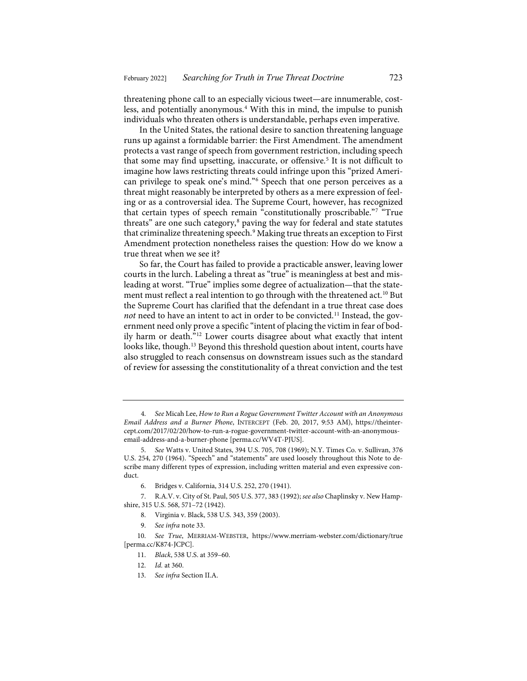threatening phone call to an especially vicious tweet—are innumerable, cost-less, and potentially anonymous.<sup>[4](#page-3-0)</sup> With this in mind, the impulse to punish individuals who threaten others is understandable, perhaps even imperative.

In the United States, the rational desire to sanction threatening language runs up against a formidable barrier: the First Amendment. The amendment protects a vast range of speech from government restriction, including speech that some may find upsetting, inaccurate, or offensive.<sup>[5](#page-3-1)</sup> It is not difficult to imagine how laws restricting threats could infringe upon this "prized American privilege to speak one's mind."[6](#page-3-2) Speech that one person perceives as a threat might reasonably be interpreted by others as a mere expression of feeling or as a controversial idea. The Supreme Court, however, has recognized that certain types of speech remain "constitutionally proscribable."[7](#page-3-3) "True threats" are one such category,<sup>[8](#page-3-4)</sup> paving the way for federal and state statutes that criminalize threatening speech.[9](#page-3-5) Making true threats an exception to First Amendment protection nonetheless raises the question: How do we know a true threat when we see it?

So far, the Court has failed to provide a practicable answer, leaving lower courts in the lurch. Labeling a threat as "true" is meaningless at best and misleading at worst. "True" implies some degree of actualization—that the state-ment must reflect a real intention to go through with the threatened act.<sup>[10](#page-3-6)</sup> But the Supreme Court has clarified that the defendant in a true threat case does not need to have an intent to act in order to be convicted.<sup>[11](#page-3-7)</sup> Instead, the government need only prove a specific "intent of placing the victim in fear of bodily harm or death."[12](#page-3-8) Lower courts disagree about what exactly that intent looks like, though.<sup>[13](#page-3-9)</sup> Beyond this threshold question about intent, courts have also struggled to reach consensus on downstream issues such as the standard of review for assessing the constitutionality of a threat conviction and the test

13. *See infra* Section II.A.

<span id="page-3-0"></span><sup>4.</sup> *See* Micah Lee, *How to Run a Rogue Government Twitter Account with an Anonymous Email Address and a Burner Phone*, INTERCEPT (Feb. 20, 2017, 9:53 AM), [https://theinter](https://theintercept.com/2017/02/20/how-to-run-a-rogue-government-twitter-account-with-an-anonymous-email-address-and-a-burner-phone/)[cept.com/2017/02/20/how-to-run-a-rogue-government-twitter-account-with-an-anonymous](https://theintercept.com/2017/02/20/how-to-run-a-rogue-government-twitter-account-with-an-anonymous-email-address-and-a-burner-phone/)[email-address-and-a-burner-phone](https://theintercept.com/2017/02/20/how-to-run-a-rogue-government-twitter-account-with-an-anonymous-email-address-and-a-burner-phone/) [\[perma.cc/WV4T-PJUS\]](https://perma.cc/WV4T-PJUS).

<span id="page-3-1"></span><sup>5.</sup> *See* Watts v. United States, 394 U.S. 705, 708 (1969); N.Y. Times Co. v. Sullivan, 376 U.S. 254, 270 (1964). "Speech" and "statements" are used loosely throughout this Note to describe many different types of expression, including written material and even expressive conduct.

<sup>6.</sup> Bridges v. California, 314 U.S. 252, 270 (1941).

<span id="page-3-4"></span><span id="page-3-3"></span><span id="page-3-2"></span><sup>7.</sup> R.A.V. v. City of St. Paul, 505 U.S. 377, 383 (1992); *see also* Chaplinsky v. New Hampshire, 315 U.S. 568, 571–72 (1942).

<sup>8.</sup> Virginia v. Black, 538 U.S. 343, 359 (2003).

<sup>9.</sup> *See infra* not[e 33.](#page-5-0)

<span id="page-3-9"></span><span id="page-3-8"></span><span id="page-3-7"></span><span id="page-3-6"></span><span id="page-3-5"></span><sup>10.</sup> *See True*, MERRIAM-WEBSTER, <https://www.merriam-webster.com/dictionary/true> [\[perma.cc/K874-JCPC\]](https://perma.cc/K874-JCPC).

<sup>11.</sup> *Black*, 538 U.S. at 359–60.

<sup>12.</sup> *Id.* at 360.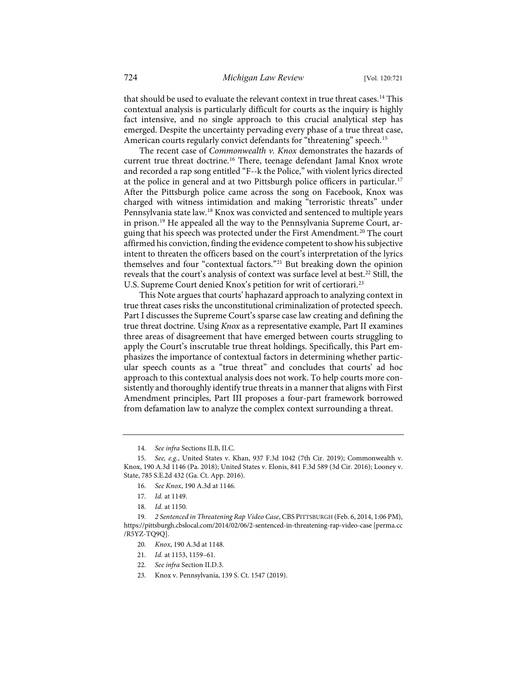that should be used to evaluate the relevant context in true threat cases.<sup>[14](#page-4-0)</sup> This contextual analysis is particularly difficult for courts as the inquiry is highly fact intensive, and no single approach to this crucial analytical step has emerged. Despite the uncertainty pervading every phase of a true threat case, American courts regularly convict defendants for "threatening" speech.<sup>[15](#page-4-1)</sup>

The recent case of *Commonwealth v. Knox* demonstrates the hazards of current true threat doctrine.[16](#page-4-2) There, teenage defendant Jamal Knox wrote and recorded a rap song entitled "F--k the Police," with violent lyrics directed at the police in general and at two Pittsburgh police officers in particular.[17](#page-4-3) After the Pittsburgh police came across the song on Facebook, Knox was charged with witness intimidation and making "terroristic threats" under Pennsylvania state law.[18](#page-4-4) Knox was convicted and sentenced to multiple years in prison.[19](#page-4-5) He appealed all the way to the Pennsylvania Supreme Court, arguing that his speech was protected under the First Amendment.[20](#page-4-6) The court affirmed his conviction, finding the evidence competent to show his subjective intent to threaten the officers based on the court's interpretation of the lyrics themselves and four "contextual factors."<sup>[21](#page-4-7)</sup> But breaking down the opinion reveals that the court's analysis of context was surface level at best.<sup>[22](#page-4-8)</sup> Still, the U.S. Supreme Court denied Knox's petition for writ of certiorari.<sup>[23](#page-4-9)</sup>

This Note argues that courts' haphazard approach to analyzing context in true threat cases risks the unconstitutional criminalization of protected speech. Part I discusses the Supreme Court's sparse case law creating and defining the true threat doctrine. Using *Knox* as a representative example, Part II examines three areas of disagreement that have emerged between courts struggling to apply the Court's inscrutable true threat holdings. Specifically, this Part emphasizes the importance of contextual factors in determining whether particular speech counts as a "true threat" and concludes that courts' ad hoc approach to this contextual analysis does not work. To help courts more consistently and thoroughly identify true threats in a manner that aligns with First Amendment principles, Part III proposes a four-part framework borrowed from defamation law to analyze the complex context surrounding a threat.

14. *See infra* Sections II.B, II.C.

- 21. *Id.* at 1153, 1159–61.
- 22. *See infra* Section II.D.3.
- 23. Knox v. Pennsylvania, 139 S. Ct. 1547 (2019).

<span id="page-4-2"></span><span id="page-4-1"></span><span id="page-4-0"></span><sup>15.</sup> *See, e.g.*, United States v. Khan, 937 F.3d 1042 (7th Cir. 2019); Commonwealth v. Knox, 190 A.3d 1146 (Pa. 2018); United States v. Elonis, 841 F.3d 589 (3d Cir. 2016); Looney v. State, 785 S.E.2d 432 (Ga. Ct. App. 2016).

<sup>16.</sup> *See Knox*, 190 A.3d at 1146.

<sup>17.</sup> *Id.* at 1149.

<sup>18.</sup> *Id.* at 1150.

<span id="page-4-9"></span><span id="page-4-8"></span><span id="page-4-7"></span><span id="page-4-6"></span><span id="page-4-5"></span><span id="page-4-4"></span><span id="page-4-3"></span><sup>19.</sup> *2 Sentenced in Threatening Rap Video Case*, CBS PITTSBURGH (Feb. 6, 2014, 1:06 PM), [https://pittsburgh.cbslocal.com/2014/02/06/2-sentenced-in-threatening-rap-video-case](https://pittsburgh.cbslocal.com/2014/02/06/2-sentenced-in-threatening-rap-video-case/) [\[perma.cc](https://perma.cc/R5YZ-TQ9Q) [/R5YZ-TQ9Q\]](https://perma.cc/R5YZ-TQ9Q).

<sup>20.</sup> *Knox*, 190 A.3d at 1148.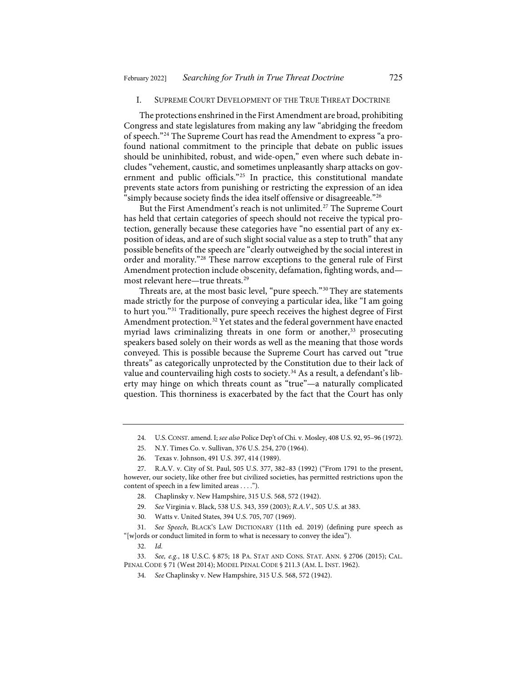## I. SUPREME COURT DEVELOPMENT OF THE TRUE THREAT DOCTRINE

The protections enshrined in the First Amendment are broad, prohibiting Congress and state legislatures from making any law "abridging the freedom of speech."[24](#page-5-1) The Supreme Court has read the Amendment to express "a profound national commitment to the principle that debate on public issues should be uninhibited, robust, and wide-open," even where such debate includes "vehement, caustic, and sometimes unpleasantly sharp attacks on government and public officials."[25](#page-5-2) In practice, this constitutional mandate prevents state actors from punishing or restricting the expression of an idea "simply because society finds the idea itself offensive or disagreeable."[26](#page-5-3)

But the First Amendment's reach is not unlimited.<sup>[27](#page-5-4)</sup> The Supreme Court has held that certain categories of speech should not receive the typical protection, generally because these categories have "no essential part of any exposition of ideas, and are of such slight social value as a step to truth" that any possible benefits of the speech are "clearly outweighed by the social interest in order and morality."[28](#page-5-5) These narrow exceptions to the general rule of First Amendment protection include obscenity, defamation, fighting words, and most relevant here—true threats.[29](#page-5-6)

<span id="page-5-0"></span>Threats are, at the most basic level, "pure speech."[30](#page-5-7) They are statements made strictly for the purpose of conveying a particular idea, like "I am going to hurt you."[31](#page-5-8) Traditionally, pure speech receives the highest degree of First Amendment protection.<sup>[32](#page-5-9)</sup> Yet states and the federal government have enacted myriad laws criminalizing threats in one form or another,<sup>[33](#page-5-10)</sup> prosecuting speakers based solely on their words as well as the meaning that those words conveyed. This is possible because the Supreme Court has carved out "true threats" as categorically unprotected by the Constitution due to their lack of value and countervailing high costs to society.<sup>[34](#page-5-11)</sup> As a result, a defendant's liberty may hinge on which threats count as "true"—a naturally complicated question. This thorniness is exacerbated by the fact that the Court has only

- 28. Chaplinsky v. New Hampshire, 315 U.S. 568, 572 (1942).
- 29. *See* Virginia v. Black, 538 U.S. 343, 359 (2003); *R.A.V.*, 505 U.S. at 383.
- 30. Watts v. United States, 394 U.S. 705, 707 (1969).

<span id="page-5-8"></span><span id="page-5-7"></span><span id="page-5-6"></span>31. *See Speech*, BLACK'S LAW DICTIONARY (11th ed. 2019) (defining pure speech as "[w]ords or conduct limited in form to what is necessary to convey the idea").

32. *Id.*

<span id="page-5-11"></span><span id="page-5-10"></span><span id="page-5-9"></span>33. *See, e.g.*, 18 U.S.C. § 875; 18 PA. STAT AND CONS. STAT. ANN. § 2706 (2015); CAL. PENAL CODE § 71 (West 2014); MODEL PENAL CODE § 211.3 (AM. L. INST. 1962).

<sup>24.</sup> U.S.CONST. amend. I; *see also* Police Dep't of Chi. v. Mosley, 408 U.S. 92, 95–96 (1972).

<sup>25.</sup> N.Y. Times Co. v. Sullivan, 376 U.S. 254, 270 (1964).

<sup>26.</sup> Texas v. Johnson, 491 U.S. 397, 414 (1989).

<span id="page-5-5"></span><span id="page-5-4"></span><span id="page-5-3"></span><span id="page-5-2"></span><span id="page-5-1"></span><sup>27.</sup> R.A.V. v. City of St. Paul, 505 U.S. 377, 382–83 (1992) ("From 1791 to the present, however, our society, like other free but civilized societies, has permitted restrictions upon the content of speech in a few limited areas . . . .").

<sup>34.</sup> *See* Chaplinsky v. New Hampshire, 315 U.S. 568, 572 (1942).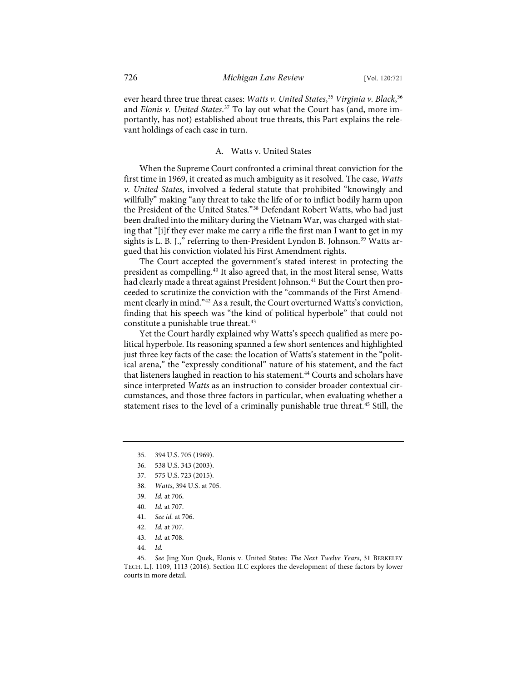ever heard three true threat cases: *Watts v. United States*, [35](#page-6-0) *Virginia v. Black*, [36](#page-6-1) and *Elonis v. United States*. [37](#page-6-2) To lay out what the Court has (and, more importantly, has not) established about true threats, this Part explains the relevant holdings of each case in turn.

# A. Watts v. United States

When the Supreme Court confronted a criminal threat conviction for the first time in 1969, it created as much ambiguity as it resolved. The case, *Watts v. United States*, involved a federal statute that prohibited "knowingly and willfully" making "any threat to take the life of or to inflict bodily harm upon the President of the United States."[38](#page-6-3) Defendant Robert Watts, who had just been drafted into the military during the Vietnam War, was charged with stating that "[i]f they ever make me carry a rifle the first man I want to get in my sights is L. B. J.," referring to then-President Lyndon B. Johnson.<sup>[39](#page-6-4)</sup> Watts argued that his conviction violated his First Amendment rights.

The Court accepted the government's stated interest in protecting the president as compelling.<sup>40</sup> It also agreed that, in the most literal sense, Watts had clearly made a threat against President Johnson.<sup>[41](#page-6-6)</sup> But the Court then proceeded to scrutinize the conviction with the "commands of the First Amendment clearly in mind."[42](#page-6-7) As a result, the Court overturned Watts's conviction, finding that his speech was "the kind of political hyperbole" that could not constitute a punishable true threat.<sup>[43](#page-6-8)</sup>

Yet the Court hardly explained why Watts's speech qualified as mere political hyperbole. Its reasoning spanned a few short sentences and highlighted just three key facts of the case: the location of Watts's statement in the "political arena," the "expressly conditional" nature of his statement, and the fact that listeners laughed in reaction to his statement.<sup>[44](#page-6-9)</sup> Courts and scholars have since interpreted *Watts* as an instruction to consider broader contextual circumstances, and those three factors in particular, when evaluating whether a statement rises to the level of a criminally punishable true threat.<sup>[45](#page-6-10)</sup> Still, the

- <span id="page-6-3"></span>38. *Watts*, 394 U.S. at 705.
- <span id="page-6-4"></span>39. *Id.* at 706.
- 40. *Id.* at 707.
- 41. *See id.* at 706.
- 42. *Id.* at 707.
- 43. *Id.* at 708.
- 44. *Id.*

<span id="page-6-0"></span><sup>35.</sup> 394 U.S. 705 (1969).

<span id="page-6-1"></span><sup>36.</sup> 538 U.S. 343 (2003).

<span id="page-6-2"></span><sup>37.</sup> 575 U.S. 723 (2015).

<span id="page-6-10"></span><span id="page-6-9"></span><span id="page-6-8"></span><span id="page-6-7"></span><span id="page-6-6"></span><span id="page-6-5"></span><sup>45.</sup> *See* Jing Xun Quek, Elonis v. United States*: The Next Twelve Years*, 31 BERKELEY TECH. L.J. 1109, 1113 (2016). Section II.C explores the development of these factors by lower courts in more detail.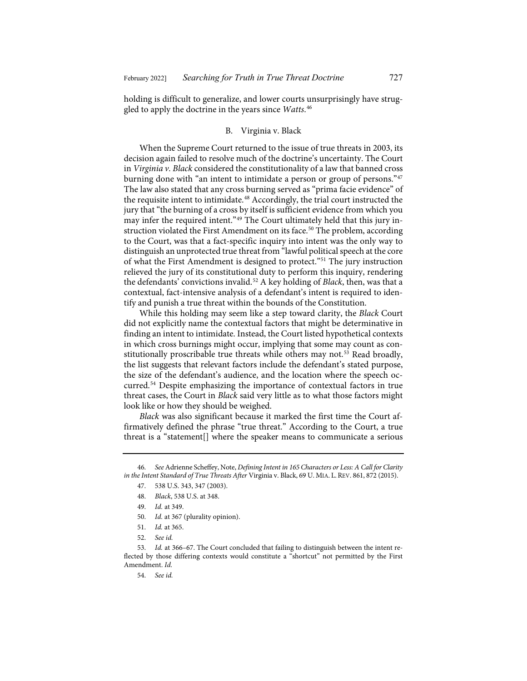holding is difficult to generalize, and lower courts unsurprisingly have struggled to apply the doctrine in the years since *Watts*. [46](#page-7-0)

# <span id="page-7-9"></span>B. Virginia v. Black

When the Supreme Court returned to the issue of true threats in 2003, its decision again failed to resolve much of the doctrine's uncertainty. The Court in *Virginia v. Black* considered the constitutionality of a law that banned cross burning done with "an intent to intimidate a person or group of persons."[47](#page-7-1) The law also stated that any cross burning served as "prima facie evidence" of the requisite intent to intimidate.<sup>[48](#page-7-2)</sup> Accordingly, the trial court instructed the jury that "the burning of a cross by itself is sufficient evidence from which you may infer the required intent."[49](#page-7-3) The Court ultimately held that this jury in-struction violated the First Amendment on its face.<sup>[50](#page-7-4)</sup> The problem, according to the Court, was that a fact-specific inquiry into intent was the only way to distinguish an unprotected true threat from "lawful political speech at the core of what the First Amendment is designed to protect."[51](#page-7-5) The jury instruction relieved the jury of its constitutional duty to perform this inquiry, rendering the defendants' convictions invalid.[52](#page-7-6) A key holding of *Black*, then, was that a contextual, fact-intensive analysis of a defendant's intent is required to identify and punish a true threat within the bounds of the Constitution.

<span id="page-7-11"></span>While this holding may seem like a step toward clarity, the *Black* Court did not explicitly name the contextual factors that might be determinative in finding an intent to intimidate. Instead, the Court listed hypothetical contexts in which cross burnings might occur, implying that some may count as con-stitutionally proscribable true threats while others may not.<sup>[53](#page-7-7)</sup> Read broadly, the list suggests that relevant factors include the defendant's stated purpose, the size of the defendant's audience, and the location where the speech occurred.[54](#page-7-8) Despite emphasizing the importance of contextual factors in true threat cases, the Court in *Black* said very little as to what those factors might look like or how they should be weighed.

<span id="page-7-10"></span>*Black* was also significant because it marked the first time the Court affirmatively defined the phrase "true threat." According to the Court, a true threat is a "statement[] where the speaker means to communicate a serious

50. *Id.* at 367 (plurality opinion).

52. *See id.*

<span id="page-7-8"></span><span id="page-7-7"></span><span id="page-7-6"></span><span id="page-7-5"></span><span id="page-7-4"></span>53. *Id.* at 366–67. The Court concluded that failing to distinguish between the intent reflected by those differing contexts would constitute a "shortcut" not permitted by the First Amendment. *Id.*

54. *See id.*

<span id="page-7-3"></span><span id="page-7-2"></span><span id="page-7-1"></span><span id="page-7-0"></span><sup>46.</sup> *See* Adrienne Scheffey, Note, *Defining Intent in 165 Characters or Less: A Call for Clarity in the Intent Standard of True Threats After* Virginia v. Black, 69 U. MIA. L.REV. 861, 872 (2015).

<sup>47.</sup> 538 U.S. 343, 347 (2003).

<sup>48.</sup> *Black*, 538 U.S. at 348.

<sup>49.</sup> *Id.* at 349.

<sup>51.</sup> *Id.* at 365.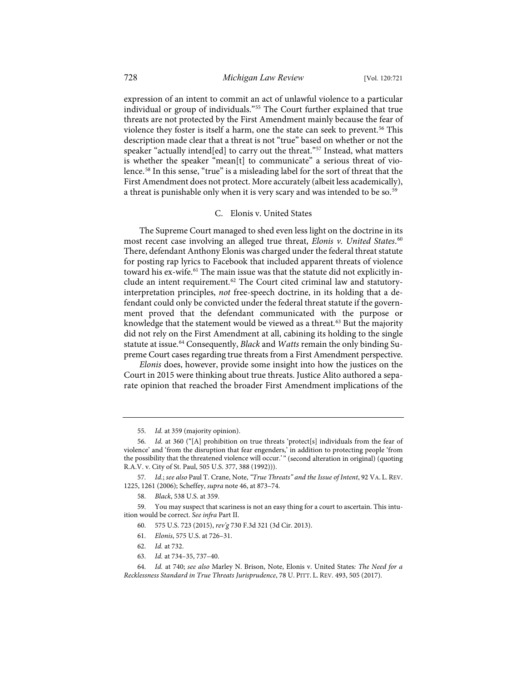expression of an intent to commit an act of unlawful violence to a particular individual or group of individuals."[55](#page-8-0) The Court further explained that true threats are not protected by the First Amendment mainly because the fear of violence they foster is itself a harm, one the state can seek to prevent.<sup>[56](#page-8-1)</sup> This description made clear that a threat is not "true" based on whether or not the speaker "actually intend[ed] to carry out the threat."<sup>57</sup> Instead, what matters is whether the speaker "mean[t] to communicate" a serious threat of violence.[58](#page-8-3) In this sense, "true" is a misleading label for the sort of threat that the First Amendment does not protect. More accurately (albeit less academically), a threat is punishable only when it is very scary and was intended to be so.<sup>[59](#page-8-4)</sup>

#### <span id="page-8-10"></span>C. Elonis v. United States

The Supreme Court managed to shed even less light on the doctrine in its most recent case involving an alleged true threat, *Elonis v. United States*. [60](#page-8-5) There, defendant Anthony Elonis was charged under the federal threat statute for posting rap lyrics to Facebook that included apparent threats of violence toward his ex-wife[.61](#page-8-6) The main issue was that the statute did not explicitly in-clude an intent requirement.<sup>[62](#page-8-7)</sup> The Court cited criminal law and statutoryinterpretation principles, *not* free-speech doctrine, in its holding that a defendant could only be convicted under the federal threat statute if the government proved that the defendant communicated with the purpose or knowledge that the statement would be viewed as a threat.<sup>[63](#page-8-8)</sup> But the majority did not rely on the First Amendment at all, cabining its holding to the single statute at issue.<sup>[64](#page-8-9)</sup> Consequently, *Black* and *Watts* remain the only binding Supreme Court cases regarding true threats from a First Amendment perspective.

<span id="page-8-11"></span>*Elonis* does, however, provide some insight into how the justices on the Court in 2015 were thinking about true threats. Justice Alito authored a separate opinion that reached the broader First Amendment implications of the

<span id="page-8-2"></span>57. *Id.*; *see also* Paul T. Crane, Note, *"True Threats" and the Issue of Intent*, 92 VA. L. REV. 1225, 1261 (2006); Scheffey, *supra* not[e 46,](#page-7-9) at 873–74.

- 61. *Elonis*, 575 U.S. at 726–31.
- 62. *Id.* at 732.
- 63. *Id.* at 734–35, 737–40.

<sup>55.</sup> *Id.* at 359 (majority opinion).

<span id="page-8-1"></span><span id="page-8-0"></span><sup>56.</sup> *Id.* at 360 ("[A] prohibition on true threats 'protect[s] individuals from the fear of violence' and 'from the disruption that fear engenders,' in addition to protecting people 'from the possibility that the threatened violence will occur.'" (second alteration in original) (quoting R.A.V. v. City of St. Paul, 505 U.S. 377, 388 (1992))).

<sup>58.</sup> *Black*, 538 U.S. at 359.

<span id="page-8-6"></span><span id="page-8-5"></span><span id="page-8-4"></span><span id="page-8-3"></span><sup>59.</sup> You may suspect that scariness is not an easy thing for a court to ascertain. This intuition would be correct. *See infra* Part II.

<sup>60.</sup> 575 U.S. 723 (2015), *rev'g* 730 F.3d 321 (3d Cir. 2013).

<span id="page-8-9"></span><span id="page-8-8"></span><span id="page-8-7"></span><sup>64.</sup> *Id.* at 740; *see also* Marley N. Brison, Note, Elonis v. United States*: The Need for a Recklessness Standard in True Threats Jurisprudence*, 78 U. PITT. L. REV. 493, 505 (2017).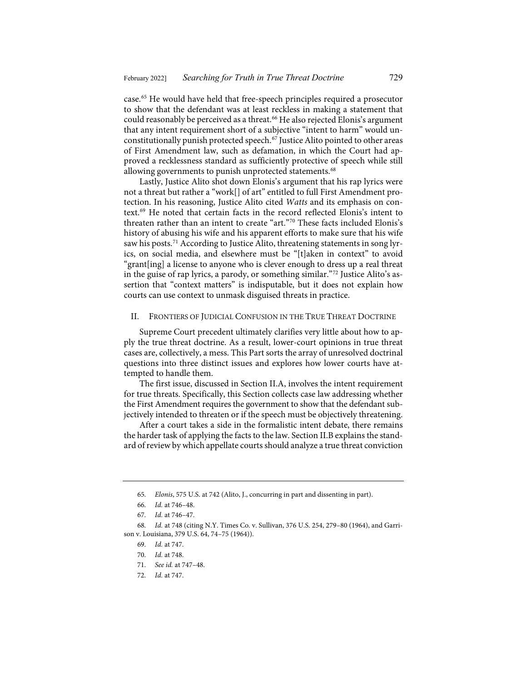case.[65](#page-9-0) He would have held that free-speech principles required a prosecutor to show that the defendant was at least reckless in making a statement that could reasonably be perceived as a threat.<sup>[66](#page-9-1)</sup> He also rejected Elonis's argument that any intent requirement short of a subjective "intent to harm" would unconstitutionally punish protected speech.[67](#page-9-2) Justice Alito pointed to other areas of First Amendment law, such as defamation, in which the Court had approved a recklessness standard as sufficiently protective of speech while still allowing governments to punish unprotected statements.<sup>[68](#page-9-3)</sup>

<span id="page-9-8"></span>Lastly, Justice Alito shot down Elonis's argument that his rap lyrics were not a threat but rather a "work[] of art" entitled to full First Amendment protection. In his reasoning, Justice Alito cited *Watts* and its emphasis on context.[69](#page-9-4) He noted that certain facts in the record reflected Elonis's intent to threaten rather than an intent to create "art."[70](#page-9-5) These facts included Elonis's history of abusing his wife and his apparent efforts to make sure that his wife saw his posts.<sup>[71](#page-9-6)</sup> According to Justice Alito, threatening statements in song lyrics, on social media, and elsewhere must be "[t]aken in context" to avoid "grant[ing] a license to anyone who is clever enough to dress up a real threat in the guise of rap lyrics, a parody, or something similar."[72](#page-9-7) Justice Alito's assertion that "context matters" is indisputable, but it does not explain how courts can use context to unmask disguised threats in practice.

# <span id="page-9-9"></span>II. FRONTIERS OF JUDICIAL CONFUSION IN THE TRUE THREAT DOCTRINE

Supreme Court precedent ultimately clarifies very little about how to apply the true threat doctrine. As a result, lower-court opinions in true threat cases are, collectively, a mess. This Part sorts the array of unresolved doctrinal questions into three distinct issues and explores how lower courts have attempted to handle them.

The first issue, discussed in Section II.A, involves the intent requirement for true threats. Specifically, this Section collects case law addressing whether the First Amendment requires the government to show that the defendant subjectively intended to threaten or if the speech must be objectively threatening.

After a court takes a side in the formalistic intent debate, there remains the harder task of applying the facts to the law. Section II.B explains the standard of review by which appellate courts should analyze a true threat conviction

<sup>65.</sup> *Elonis*, 575 U.S. at 742 (Alito, J., concurring in part and dissenting in part).

<sup>66.</sup> *Id.* at 746–48.

<sup>67.</sup> *Id.* at 746–47.

<span id="page-9-7"></span><span id="page-9-6"></span><span id="page-9-5"></span><span id="page-9-4"></span><span id="page-9-3"></span><span id="page-9-2"></span><span id="page-9-1"></span><span id="page-9-0"></span><sup>68.</sup> *Id.* at 748 (citing N.Y. Times Co. v. Sullivan, 376 U.S. 254, 279–80 (1964), and Garrison v. Louisiana, 379 U.S. 64, 74–75 (1964)).

<sup>69.</sup> *Id.* at 747.

<sup>70.</sup> *Id.* at 748.

<sup>71.</sup> *See id.* at 747–48.

<sup>72.</sup> *Id.* at 747.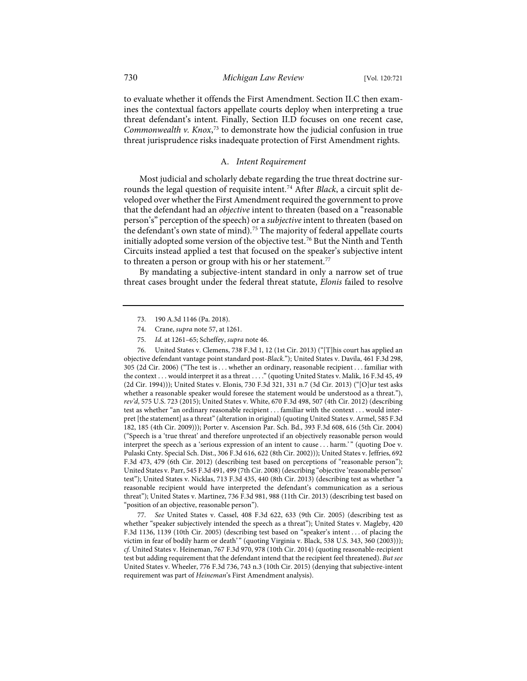to evaluate whether it offends the First Amendment. Section II.C then examines the contextual factors appellate courts deploy when interpreting a true threat defendant's intent. Finally, Section II.D focuses on one recent case, *Commonwealth v. Knox*, [73](#page-10-0) to demonstrate how the judicial confusion in true threat jurisprudence risks inadequate protection of First Amendment rights.

# A. *Intent Requirement*

Most judicial and scholarly debate regarding the true threat doctrine surrounds the legal question of requisite intent[.74](#page-10-1) After *Black*, a circuit split developed over whether the First Amendment required the government to prove that the defendant had an *objective* intent to threaten (based on a "reasonable person's" perception of the speech) or a *subjective* intent to threaten (based on the defendant's own state of mind).<sup>[75](#page-10-2)</sup> The majority of federal appellate courts initially adopted some version of the objective test.[76](#page-10-3) But the Ninth and Tenth Circuits instead applied a test that focused on the speaker's subjective intent to threaten a person or group with his or her statement.<sup>[77](#page-10-4)</sup>

By mandating a subjective-intent standard in only a narrow set of true threat cases brought under the federal threat statute, *Elonis* failed to resolve

<span id="page-10-3"></span><span id="page-10-2"></span><span id="page-10-1"></span><span id="page-10-0"></span>76. United States v. Clemens, 738 F.3d 1, 12 (1st Cir. 2013) ("[T]his court has applied an objective defendant vantage point standard post-*Black*."); United States v. Davila, 461 F.3d 298, 305 (2d Cir. 2006) ("The test is . . . whether an ordinary, reasonable recipient . . . familiar with the context . . . would interpret it as a threat . . . ." (quoting United States v. Malik, 16 F.3d 45, 49 (2d Cir. 1994))); United States v. Elonis, 730 F.3d 321, 331 n.7 (3d Cir. 2013) ("[O]ur test asks whether a reasonable speaker would foresee the statement would be understood as a threat."), *rev'd*, 575 U.S. 723 (2015); United States v. White, 670 F.3d 498, 507 (4th Cir. 2012) (describing test as whether "an ordinary reasonable recipient . . . familiar with the context . . . would interpret [the statement] as a threat" (alteration in original) (quoting United States v. Armel, 585 F.3d 182, 185 (4th Cir. 2009))); Porter v. Ascension Par. Sch. Bd., 393 F.3d 608, 616 (5th Cir. 2004) ("Speech is a 'true threat' and therefore unprotected if an objectively reasonable person would interpret the speech as a 'serious expression of an intent to cause . . . harm.'" (quoting Doe v. Pulaski Cnty. Special Sch. Dist., 306 F.3d 616, 622 (8th Cir. 2002))); United States v. Jeffries, 692 F.3d 473, 479 (6th Cir. 2012) (describing test based on perceptions of "reasonable person"); United States v. Parr, 545 F.3d 491, 499 (7th Cir. 2008) (describing "objective 'reasonable person' test"); United States v. Nicklas, 713 F.3d 435, 440 (8th Cir. 2013) (describing test as whether "a reasonable recipient would have interpreted the defendant's communication as a serious threat"); United States v. Martinez, 736 F.3d 981, 988 (11th Cir. 2013) (describing test based on "position of an objective, reasonable person").

<span id="page-10-4"></span>77. *See* United States v. Cassel, 408 F.3d 622, 633 (9th Cir. 2005) (describing test as whether "speaker subjectively intended the speech as a threat"); United States v. Magleby, 420 F.3d 1136, 1139 (10th Cir. 2005) (describing test based on "speaker's intent . . . of placing the victim in fear of bodily harm or death'" (quoting Virginia v. Black, 538 U.S. 343, 360 (2003))); *cf.* United States v. Heineman, 767 F.3d 970, 978 (10th Cir. 2014) (quoting reasonable-recipient test but adding requirement that the defendant intend that the recipient feel threatened). *But see* United States v. Wheeler, 776 F.3d 736, 743 n.3 (10th Cir. 2015) (denying that subjective-intent requirement was part of *Heineman*'s First Amendment analysis).

<sup>73.</sup> 190 A.3d 1146 (Pa. 2018).

<sup>74.</sup> Crane, *supra* not[e 57,](#page-8-10) at 1261.

<sup>75.</sup> *Id.* at 1261–65; Scheffey, *supra* not[e 46.](#page-7-9)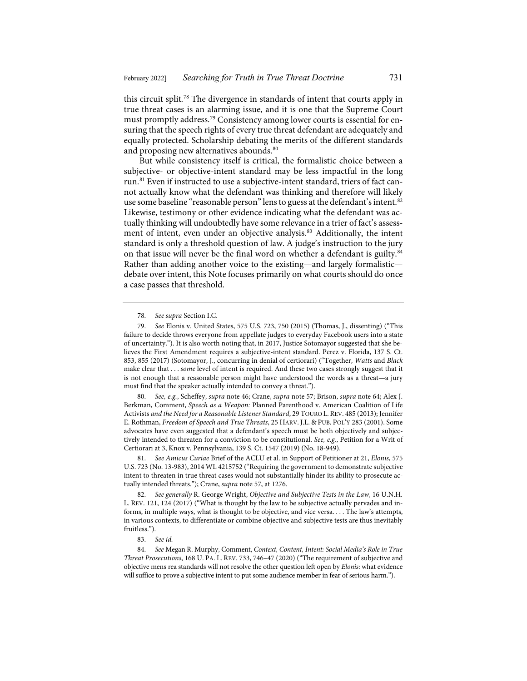this circuit split.<sup>[78](#page-11-0)</sup> The divergence in standards of intent that courts apply in true threat cases is an alarming issue, and it is one that the Supreme Court must promptly address.<sup>[79](#page-11-1)</sup> Consistency among lower courts is essential for ensuring that the speech rights of every true threat defendant are adequately and equally protected. Scholarship debating the merits of the different standards and proposing new alternatives abounds.<sup>[80](#page-11-2)</sup>

<span id="page-11-8"></span>But while consistency itself is critical, the formalistic choice between a subjective- or objective-intent standard may be less impactful in the long run.[81](#page-11-3) Even if instructed to use a subjective-intent standard, triers of fact cannot actually know what the defendant was thinking and therefore will likely use some baseline "reasonable person" lens to guess at the defendant's intent.<sup>[82](#page-11-4)</sup> Likewise, testimony or other evidence indicating what the defendant was actually thinking will undoubtedly have some relevance in a trier of fact's assess-ment of intent, even under an objective analysis.<sup>[83](#page-11-5)</sup> Additionally, the intent standard is only a threshold question of law. A judge's instruction to the jury on that issue will never be the final word on whether a defendant is guilty.<sup>[84](#page-11-6)</sup> Rather than adding another voice to the existing—and largely formalistic debate over intent, this Note focuses primarily on what courts should do once a case passes that threshold.

<span id="page-11-2"></span>80. *See, e.g.*, Scheffey, *supra* not[e 46;](#page-7-9) Crane, *supra* note [57;](#page-8-10) Brison, *supra* not[e 64;](#page-8-11) Alex J. Berkman, Comment, *Speech as a Weapon:* Planned Parenthood v. American Coalition of Life Activists *and the Need for a Reasonable Listener Standard*, 29 TOURO L.REV. 485 (2013); Jennifer E. Rothman, *Freedom of Speech and True Threats*, 25 HARV. J.L. & PUB. POL'Y 283 (2001). Some advocates have even suggested that a defendant's speech must be both objectively and subjectively intended to threaten for a conviction to be constitutional. *See, e.g.*, Petition for a Writ of Certiorari at 3, Knox v. Pennsylvania, 139 S. Ct. 1547 (2019) (No. 18-949).

<span id="page-11-3"></span>81. *See Amicus Curiae* Brief of the ACLU et al. in Support of Petitioner at 21, *Elonis*, 575 U.S. 723 (No. 13-983), 2014 WL 4215752 ("Requiring the government to demonstrate subjective intent to threaten in true threat cases would not substantially hinder its ability to prosecute actually intended threats."); Crane, *supra* not[e 57,](#page-8-10) at 1276.

<span id="page-11-4"></span>82. *See generally* R. George Wright, *Objective and Subjective Tests in the Law*, 16 U.N.H. L. REV. 121, 124 (2017) ("What is thought by the law to be subjective actually pervades and informs, in multiple ways, what is thought to be objective, and vice versa. . . . The law's attempts, in various contexts, to differentiate or combine objective and subjective tests are thus inevitably fruitless.").

83. *See id.*

<span id="page-11-6"></span><span id="page-11-5"></span>84. *See* Megan R. Murphy, Comment, *Context, Content, Intent: Social Media's Role in True Threat Prosecutions*, 168 U. PA. L. REV. 733, 746–47 (2020) ("The requirement of subjective and objective mens rea standards will not resolve the other question left open by *Elonis*: what evidence will suffice to prove a subjective intent to put some audience member in fear of serious harm.").

<span id="page-11-7"></span><sup>78.</sup> *See supra* Section I.C.

<span id="page-11-1"></span><span id="page-11-0"></span><sup>79.</sup> *See* Elonis v. United States, 575 U.S. 723, 750 (2015) (Thomas, J., dissenting) ("This failure to decide throws everyone from appellate judges to everyday Facebook users into a state of uncertainty."). It is also worth noting that, in 2017, Justice Sotomayor suggested that she believes the First Amendment requires a subjective-intent standard. Perez v. Florida, 137 S. Ct. 853, 855 (2017) (Sotomayor, J., concurring in denial of certiorari) ("Together, *Watts* and *Black* make clear that . . . *some* level of intent is required. And these two cases strongly suggest that it is not enough that a reasonable person might have understood the words as a threat—a jury must find that the speaker actually intended to convey a threat.").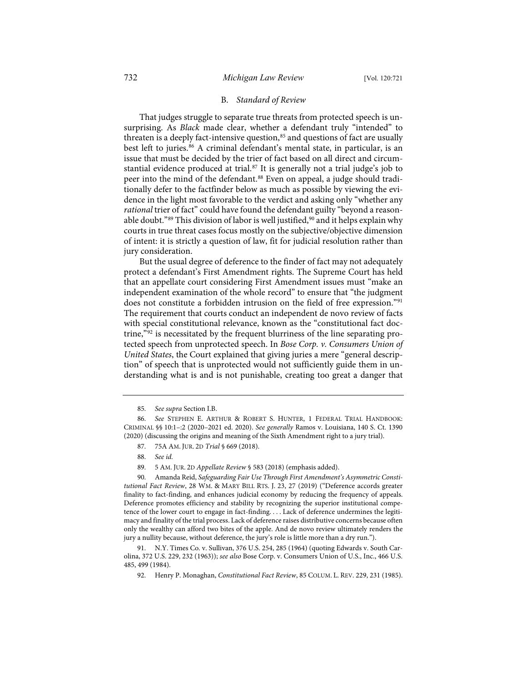### B. *Standard of Review*

That judges struggle to separate true threats from protected speech is unsurprising. As *Black* made clear, whether a defendant truly "intended" to threaten is a deeply fact-intensive question, $85$  and questions of fact are usually best left to juries.<sup>[86](#page-12-1)</sup> A criminal defendant's mental state, in particular, is an issue that must be decided by the trier of fact based on all direct and circum-stantial evidence produced at trial.<sup>[87](#page-12-2)</sup> It is generally not a trial judge's job to peer into the mind of the defendant.<sup>[88](#page-12-3)</sup> Even on appeal, a judge should traditionally defer to the factfinder below as much as possible by viewing the evidence in the light most favorable to the verdict and asking only "whether any *rational* trier of fact" could have found the defendant guilty "beyond a reasonable doubt." $89$  This division of labor is well justified, $90$  and it helps explain why courts in true threat cases focus mostly on the subjective/objective dimension of intent: it is strictly a question of law, fit for judicial resolution rather than jury consideration.

But the usual degree of deference to the finder of fact may not adequately protect a defendant's First Amendment rights. The Supreme Court has held that an appellate court considering First Amendment issues must "make an independent examination of the whole record" to ensure that "the judgment does not constitute a forbidden intrusion on the field of free expression."[91](#page-12-6) The requirement that courts conduct an independent de novo review of facts with special constitutional relevance, known as the "constitutional fact doctrine,"[92](#page-12-7) is necessitated by the frequent blurriness of the line separating protected speech from unprotected speech. In *Bose Corp. v. Consumers Union of United States*, the Court explained that giving juries a mere "general description" of speech that is unprotected would not sufficiently guide them in understanding what is and is not punishable, creating too great a danger that

- 87. 75A AM. JUR. 2D *Trial* § 669 (2018).
- 88. *See id.*
- 89. 5 AM. JUR. 2D *Appellate Review* § 583 (2018) (emphasis added).

<span id="page-12-5"></span><span id="page-12-4"></span><span id="page-12-3"></span>90. Amanda Reid, *Safeguarding Fair Use Through First Amendment's Asymmetric Constitutional Fact Review*, 28 WM. & MARY BILL RTS. J. 23, 27 (2019) ("Deference accords greater finality to fact-finding, and enhances judicial economy by reducing the frequency of appeals. Deference promotes efficiency and stability by recognizing the superior institutional competence of the lower court to engage in fact-finding. . . . Lack of deference undermines the legitimacy and finality of the trial process. Lack of deference raises distributive concerns because often only the wealthy can afford two bites of the apple. And de novo review ultimately renders the jury a nullity because, without deference, the jury's role is little more than a dry run.").

<span id="page-12-7"></span><span id="page-12-6"></span>91. N.Y. Times Co. v. Sullivan, 376 U.S. 254, 285 (1964) (quoting Edwards v. South Carolina, 372 U.S. 229, 232 (1963)); *see also* Bose Corp. v. Consumers Union of U.S., Inc., 466 U.S. 485, 499 (1984).

92. Henry P. Monaghan, *Constitutional Fact Review*, 85 COLUM. L. REV. 229, 231 (1985).

<sup>85.</sup> *See supra* Section I.B.

<span id="page-12-2"></span><span id="page-12-1"></span><span id="page-12-0"></span><sup>86.</sup> *See* STEPHEN E. ARTHUR & ROBERT S. HUNTER, 1 FEDERAL TRIAL HANDBOOK: CRIMINAL §§ 10:1–:2 (2020–2021 ed. 2020). *See generally* Ramos v. Louisiana, 140 S. Ct. 1390 (2020) (discussing the origins and meaning of the Sixth Amendment right to a jury trial).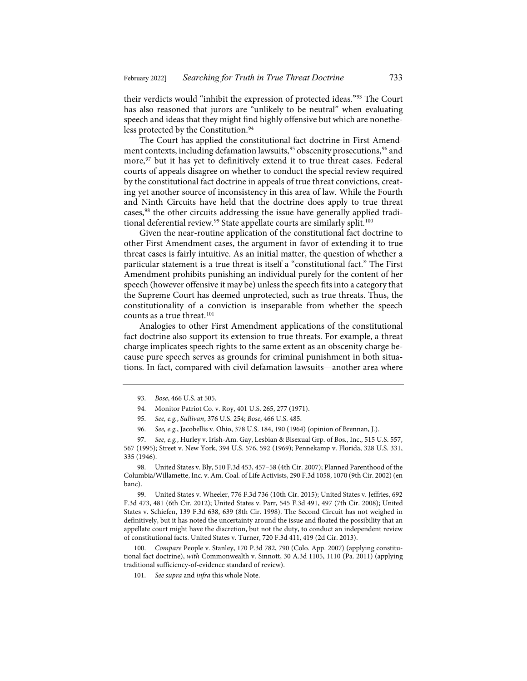their verdicts would "inhibit the expression of protected ideas.["93](#page-13-0) The Court has also reasoned that jurors are "unlikely to be neutral" when evaluating speech and ideas that they might find highly offensive but which are nonethe-less protected by the Constitution.<sup>[94](#page-13-1)</sup>

The Court has applied the constitutional fact doctrine in First Amend-ment contexts, including defamation lawsuits,<sup>[95](#page-13-2)</sup> obscenity prosecutions,<sup>[96](#page-13-3)</sup> and more,<sup>[97](#page-13-4)</sup> but it has yet to definitively extend it to true threat cases. Federal courts of appeals disagree on whether to conduct the special review required by the constitutional fact doctrine in appeals of true threat convictions, creating yet another source of inconsistency in this area of law. While the Fourth and Ninth Circuits have held that the doctrine does apply to true threat cases,[98](#page-13-5) the other circuits addressing the issue have generally applied tradi-tional deferential review.<sup>[99](#page-13-6)</sup> State appellate courts are similarly split.<sup>[100](#page-13-7)</sup>

Given the near-routine application of the constitutional fact doctrine to other First Amendment cases, the argument in favor of extending it to true threat cases is fairly intuitive. As an initial matter, the question of whether a particular statement is a true threat is itself a "constitutional fact." The First Amendment prohibits punishing an individual purely for the content of her speech (however offensive it may be) unless the speech fits into a category that the Supreme Court has deemed unprotected, such as true threats. Thus, the constitutionality of a conviction is inseparable from whether the speech counts as a true threat.<sup>[101](#page-13-8)</sup>

Analogies to other First Amendment applications of the constitutional fact doctrine also support its extension to true threats. For example, a threat charge implicates speech rights to the same extent as an obscenity charge because pure speech serves as grounds for criminal punishment in both situations. In fact, compared with civil defamation lawsuits—another area where

<span id="page-13-5"></span>United States v. Bly, 510 F.3d 453, 457-58 (4th Cir. 2007); Planned Parenthood of the Columbia/Willamette, Inc. v. Am. Coal. of Life Activists, 290 F.3d 1058, 1070 (9th Cir. 2002) (en banc).

<span id="page-13-6"></span>99. United States v. Wheeler, 776 F.3d 736 (10th Cir. 2015); United States v. Jeffries, 692 F.3d 473, 481 (6th Cir. 2012); United States v. Parr, 545 F.3d 491, 497 (7th Cir. 2008); United States v. Schiefen, 139 F.3d 638, 639 (8th Cir. 1998). The Second Circuit has not weighed in definitively, but it has noted the uncertainty around the issue and floated the possibility that an appellate court might have the discretion, but not the duty, to conduct an independent review of constitutional facts. United States v. Turner, 720 F.3d 411, 419 (2d Cir. 2013).

<span id="page-13-8"></span><span id="page-13-7"></span>100. *Compare* People v. Stanley, 170 P.3d 782, 790 (Colo. App. 2007) (applying constitutional fact doctrine), *with* Commonwealth v. Sinnott, 30 A.3d 1105, 1110 (Pa. 2011) (applying traditional sufficiency-of-evidence standard of review).

101. *See supra* and *infra* this whole Note.

<sup>93.</sup> *Bose*, 466 U.S. at 505.

<sup>94.</sup> Monitor Patriot Co. v. Roy, 401 U.S. 265, 277 (1971).

<sup>95.</sup> *See, e.g.*, *Sullivan*, 376 U.S. 254; *Bose*, 466 U.S. 485.

<sup>96.</sup> *See, e.g.*, Jacobellis v. Ohio, 378 U.S. 184, 190 (1964) (opinion of Brennan, J.).

<span id="page-13-4"></span><span id="page-13-3"></span><span id="page-13-2"></span><span id="page-13-1"></span><span id="page-13-0"></span><sup>97.</sup> *See, e.g.*, Hurley v. Irish-Am. Gay, Lesbian & Bisexual Grp. of Bos., Inc., 515 U.S. 557, 567 (1995); Street v. New York, 394 U.S. 576, 592 (1969); Pennekamp v. Florida, 328 U.S. 331, 335 (1946).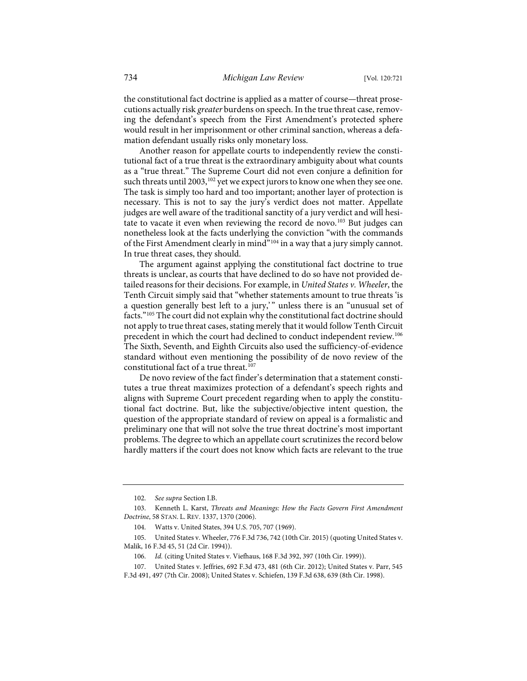the constitutional fact doctrine is applied as a matter of course—threat prosecutions actually risk *greater* burdens on speech. In the true threat case, removing the defendant's speech from the First Amendment's protected sphere would result in her imprisonment or other criminal sanction, whereas a defamation defendant usually risks only monetary loss.

Another reason for appellate courts to independently review the constitutional fact of a true threat is the extraordinary ambiguity about what counts as a "true threat." The Supreme Court did not even conjure a definition for such threats until 2003,<sup>[102](#page-14-0)</sup> yet we expect jurors to know one when they see one. The task is simply too hard and too important; another layer of protection is necessary. This is not to say the jury's verdict does not matter. Appellate judges are well aware of the traditional sanctity of a jury verdict and will hesi-tate to vacate it even when reviewing the record de novo.<sup>[103](#page-14-1)</sup> But judges can nonetheless look at the facts underlying the conviction "with the commands of the First Amendment clearly in mind<sup>"[104](#page-14-2)</sup> in a way that a jury simply cannot. In true threat cases, they should.

<span id="page-14-6"></span>The argument against applying the constitutional fact doctrine to true threats is unclear, as courts that have declined to do so have not provided detailed reasons for their decisions. For example, in *United States v. Wheeler*, the Tenth Circuit simply said that "whether statements amount to true threats 'is a question generally best left to a jury,'" unless there is an "unusual set of facts."[105](#page-14-3) The court did not explain why the constitutional fact doctrine should not apply to true threat cases, stating merely that it would follow Tenth Circuit precedent in which the court had declined to conduct independent review.[106](#page-14-4) The Sixth, Seventh, and Eighth Circuits also used the sufficiency-of-evidence standard without even mentioning the possibility of de novo review of the constitutional fact of a true threat.<sup>[107](#page-14-5)</sup>

De novo review of the fact finder's determination that a statement constitutes a true threat maximizes protection of a defendant's speech rights and aligns with Supreme Court precedent regarding when to apply the constitutional fact doctrine. But, like the subjective/objective intent question, the question of the appropriate standard of review on appeal is a formalistic and preliminary one that will not solve the true threat doctrine's most important problems. The degree to which an appellate court scrutinizes the record below hardly matters if the court does not know which facts are relevant to the true

<span id="page-14-5"></span>107. United States v. Jeffries, 692 F.3d 473, 481 (6th Cir. 2012); United States v. Parr, 545 F.3d 491, 497 (7th Cir. 2008); United States v. Schiefen, 139 F.3d 638, 639 (8th Cir. 1998).

<sup>102.</sup> *See supra* Section I.B.

<span id="page-14-1"></span><span id="page-14-0"></span><sup>103.</sup> Kenneth L. Karst, *Threats and Meanings: How the Facts Govern First Amendment Doctrine*, 58 STAN. L. REV. 1337, 1370 (2006).

<sup>104.</sup> Watts v. United States, 394 U.S. 705, 707 (1969).

<span id="page-14-4"></span><span id="page-14-3"></span><span id="page-14-2"></span><sup>105.</sup> United States v. Wheeler, 776 F.3d 736, 742 (10th Cir. 2015) (quoting United States v. Malik, 16 F.3d 45, 51 (2d Cir. 1994)).

<sup>106.</sup> *Id.* (citing United States v. Viefhaus, 168 F.3d 392, 397 (10th Cir. 1999)).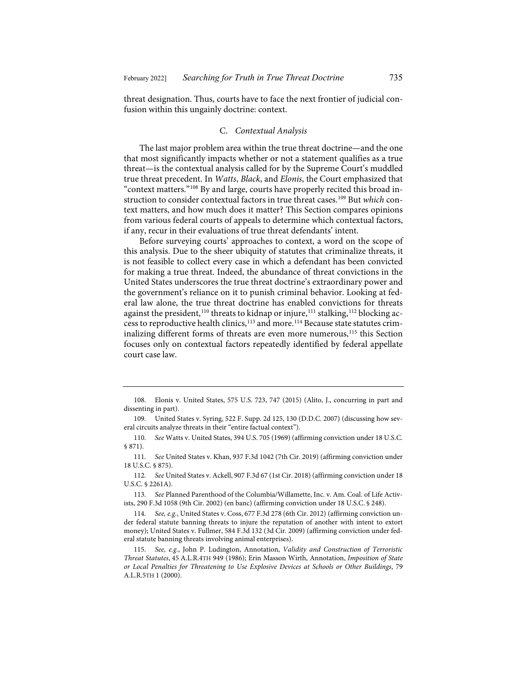threat designation. Thus, courts have to face the next frontier of judicial confusion within this ungainly doctrine: context.

# C. *Contextual Analysis*

The last major problem area within the true threat doctrine—and the one that most significantly impacts whether or not a statement qualifies as a true threat—is the contextual analysis called for by the Supreme Court's muddled true threat precedent. In *Watts*, *Black*, and *Elonis*, the Court emphasized that "context matters."[108](#page-15-0) By and large, courts have properly recited this broad instruction to consider contextual factors in true threat cases.[109](#page-15-1) But *which* context matters, and how much does it matter? This Section compares opinions from various federal courts of appeals to determine which contextual factors, if any, recur in their evaluations of true threat defendants' intent.

Before surveying courts' approaches to context, a word on the scope of this analysis. Due to the sheer ubiquity of statutes that criminalize threats, it is not feasible to collect every case in which a defendant has been convicted for making a true threat. Indeed, the abundance of threat convictions in the United States underscores the true threat doctrine's extraordinary power and the government's reliance on it to punish criminal behavior. Looking at federal law alone, the true threat doctrine has enabled convictions for threats against the president,<sup>[110](#page-15-2)</sup> threats to kidnap or injure,<sup>[111](#page-15-3)</sup> stalking,<sup>[112](#page-15-4)</sup> blocking ac-cess to reproductive health clinics,<sup>[113](#page-15-5)</sup> and more.<sup>[114](#page-15-6)</sup> Because state statutes crim-inalizing different forms of threats are even more numerous,<sup>[115](#page-15-7)</sup> this Section focuses only on contextual factors repeatedly identified by federal appellate court case law.

<span id="page-15-0"></span><sup>108.</sup> Elonis v. United States, 575 U.S. 723, 747 (2015) (Alito, J., concurring in part and dissenting in part).

<span id="page-15-1"></span><sup>109.</sup> United States v. Syring, 522 F. Supp. 2d 125, 130 (D.D.C. 2007) (discussing how several circuits analyze threats in their "entire factual context").

<span id="page-15-2"></span><sup>110.</sup> *See* Watts v. United States, 394 U.S. 705 (1969) (affirming conviction under 18 U.S.C. § 871).

<span id="page-15-3"></span><sup>111.</sup> *See* United States v. Khan, 937 F.3d 1042 (7th Cir. 2019) (affirming conviction under 18 U.S.C. § 875).

<span id="page-15-4"></span><sup>112.</sup> *See* United States v. Ackell, 907 F.3d 67 (1st Cir. 2018) (affirming conviction under 18 U.S.C. § 2261A).

<span id="page-15-5"></span><sup>113.</sup> *See* Planned Parenthood of the Columbia/Willamette, Inc. v. Am. Coal. of Life Activists, 290 F.3d 1058 (9th Cir. 2002) (en banc) (affirming conviction under 18 U.S.C. § 248).

<span id="page-15-6"></span><sup>114.</sup> *See, e.g.*, United States v. Coss, 677 F.3d 278 (6th Cir. 2012) (affirming conviction under federal statute banning threats to injure the reputation of another with intent to extort money); United States v. Fullmer, 584 F.3d 132 (3d Cir. 2009) (affirming conviction under federal statute banning threats involving animal enterprises).

<span id="page-15-7"></span><sup>115.</sup> *See, e.g.*, John P. Ludington, Annotation, *Validity and Construction of Terroristic Threat Statutes*, 45 A.L.R.4TH 949 (1986); Erin Masson Wirth, Annotation, *Imposition of State or Local Penalties for Threatening to Use Explosive Devices at Schools or Other Buildings*, 79 A.L.R.5TH 1 (2000).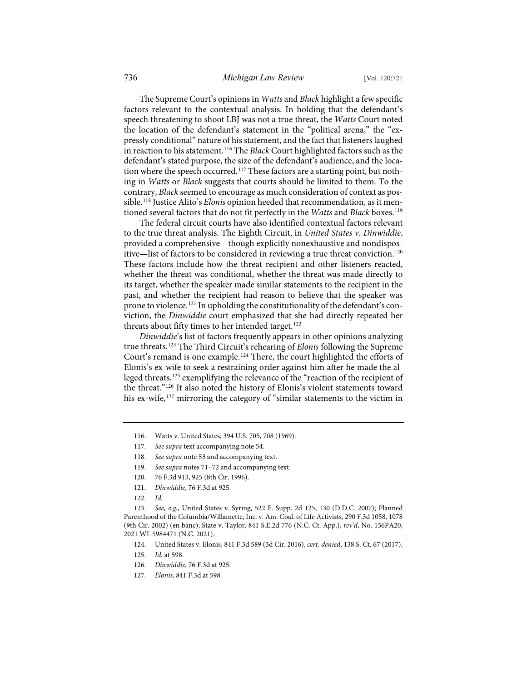The Supreme Court's opinions in *Watts* and *Black* highlight a few specific factors relevant to the contextual analysis. In holding that the defendant's speech threatening to shoot LBJ was not a true threat, the *Watts* Court noted the location of the defendant's statement in the "political arena," the "expressly conditional" nature of his statement, and the fact that listeners laughed in reaction to his statement.[116](#page-16-0) The *Black* Court highlighted factors such as the defendant's stated purpose, the size of the defendant's audience, and the loca-tion where the speech occurred.<sup>[117](#page-16-1)</sup> These factors are a starting point, but nothing in *Watts* or *Black* suggests that courts should be limited to them. To the contrary, *Black* seemed to encourage as much consideration of context as possible.[118](#page-16-2) Justice Alito's *Elonis* opinion heeded that recommendation, as it mentioned several factors that do not fit perfectly in the *Watts* and *Black* boxes.<sup>[119](#page-16-3)</sup>

The federal circuit courts have also identified contextual factors relevant to the true threat analysis. The Eighth Circuit, in *United States v. Dinwiddie*, provided a comprehensive—though explicitly nonexhaustive and nondispos-itive—list of factors to be considered in reviewing a true threat conviction.<sup>[120](#page-16-4)</sup> These factors include how the threat recipient and other listeners reacted, whether the threat was conditional, whether the threat was made directly to its target, whether the speaker made similar statements to the recipient in the past, and whether the recipient had reason to believe that the speaker was prone to violence.<sup>[121](#page-16-5)</sup> In upholding the constitutionality of the defendant's conviction, the *Dinwiddie* court emphasized that she had directly repeated her threats about fifty times to her intended target.<sup>[122](#page-16-6)</sup>

*Dinwiddie*'s list of factors frequently appears in other opinions analyzing true threats.[123](#page-16-7) The Third Circuit's rehearing of *Elonis* following the Supreme Court's remand is one example[.124](#page-16-8) There, the court highlighted the efforts of Elonis's ex-wife to seek a restraining order against him after he made the al-leged threats,<sup>[125](#page-16-9)</sup> exemplifying the relevance of the "reaction of the recipient of the threat.["126](#page-16-10) It also noted the history of Elonis's violent statements toward his ex-wife,[127](#page-16-11) mirroring the category of "similar statements to the victim in

- 119. *See supra* note[s 71](#page-9-8)[–72](#page-9-9) and accompanying text.
- 120. 76 F.3d 913, 925 (8th Cir. 1996).
- 121. *Dinwiddie*, 76 F.3d at 925.

<span id="page-16-9"></span><span id="page-16-8"></span><span id="page-16-7"></span><span id="page-16-6"></span><span id="page-16-5"></span><span id="page-16-4"></span><span id="page-16-3"></span><span id="page-16-2"></span>123. *See, e.g.*, United States v. Syring, 522 F. Supp. 2d 125, 130 (D.D.C. 2007); Planned Parenthood of the Columbia/Willamette, Inc. v. Am. Coal. of Life Activists, 290 F.3d 1058, 1078 (9th Cir. 2002) (en banc); State v. Taylor, 841 S.E.2d 776 (N.C. Ct. App.), *rev'd*, No. 156PA20, 2021 WL 5984471 (N.C. 2021).

<span id="page-16-11"></span>127. *Elonis*, 841 F.3d at 598.

<span id="page-16-0"></span><sup>116.</sup> Watts v. United States, 394 U.S. 705, 708 (1969).

<span id="page-16-1"></span><sup>117.</sup> *See supra* text accompanying not[e 54.](#page-7-10)

<sup>118.</sup> *See supra* not[e 53](#page-7-11) and accompanying text.

<sup>122.</sup> *Id.*

<sup>124.</sup> United States v. Elonis, 841 F.3d 589 (3d Cir. 2016), *cert. denied*, 138 S. Ct. 67 (2017).

<sup>125.</sup> *Id.* at 598.

<span id="page-16-10"></span><sup>126.</sup> *Dinwiddie*, 76 F.3d at 925.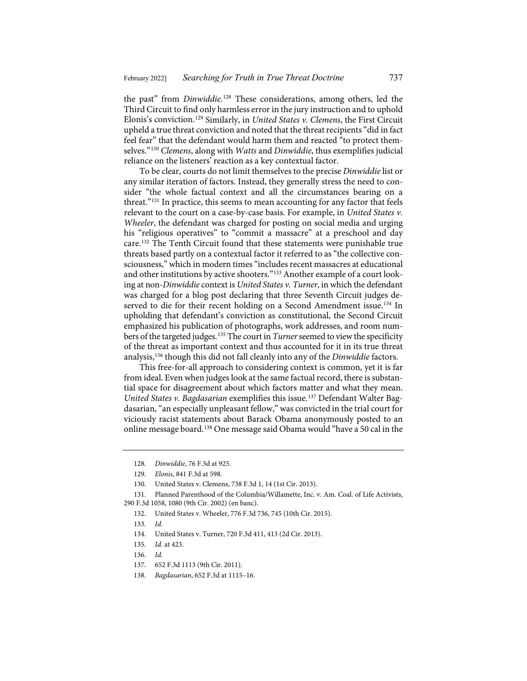the past" from *Dinwiddie*. [128](#page-17-0) These considerations, among others, led the Third Circuit to find only harmless error in the jury instruction and to uphold Elonis's conviction.[129](#page-17-1) Similarly, in *United States v. Clemens*, the First Circuit upheld a true threat conviction and noted that the threat recipients "did in fact feel fear" that the defendant would harm them and reacted "to protect themselves."[130](#page-17-2) *Clemens*, along with *Watts* and *Dinwiddie*, thus exemplifies judicial reliance on the listeners' reaction as a key contextual factor.

To be clear, courts do not limit themselves to the precise *Dinwiddie* list or any similar iteration of factors. Instead, they generally stress the need to consider "the whole factual context and all the circumstances bearing on a threat."[131](#page-17-3) In practice, this seems to mean accounting for any factor that feels relevant to the court on a case-by-case basis. For example, in *United States v. Wheeler*, the defendant was charged for posting on social media and urging his "religious operatives" to "commit a massacre" at a preschool and day care.[132](#page-17-4) The Tenth Circuit found that these statements were punishable true threats based partly on a contextual factor it referred to as "the collective consciousness," which in modern times "includes recent massacres at educational and other institutions by active shooters."[133](#page-17-5) Another example of a court looking at non-*Dinwiddie* context is *United States v. Turner*, in which the defendant was charged for a blog post declaring that three Seventh Circuit judges de-served to die for their recent holding on a Second Amendment issue.<sup>[134](#page-17-6)</sup> In upholding that defendant's conviction as constitutional, the Second Circuit emphasized his publication of photographs, work addresses, and room num-bers of the targeted judges.<sup>[135](#page-17-7)</sup> The court in *Turner* seemed to view the specificity of the threat as important context and thus accounted for it in its true threat analysis,[136](#page-17-8) though this did not fall cleanly into any of the *Dinwiddie* factors.

This free-for-all approach to considering context is common, yet it is far from ideal. Even when judges look at the same factual record, there is substantial space for disagreement about which factors matter and what they mean. *United States v. Bagdasarian* exemplifies this issue.[137](#page-17-9) Defendant Walter Bagdasarian, "an especially unpleasant fellow," was convicted in the trial court for viciously racist statements about Barack Obama anonymously posted to an online message board.[138](#page-17-10) One message said Obama would "have a 50 cal in the

<span id="page-17-7"></span><span id="page-17-6"></span><span id="page-17-5"></span><span id="page-17-4"></span><span id="page-17-3"></span><span id="page-17-2"></span><span id="page-17-1"></span><span id="page-17-0"></span>131. Planned Parenthood of the Columbia/Willamette, Inc. v. Am. Coal. of Life Activists, 290 F.3d 1058, 1080 (9th Cir. 2002) (en banc).

<sup>128.</sup> *Dinwiddie*, 76 F.3d at 925.

<sup>129.</sup> *Elonis*, 841 F.3d at 598.

<sup>130.</sup> United States v. Clemens, 738 F.3d 1, 14 (1st Cir. 2013).

<sup>132.</sup> United States v. Wheeler, 776 F.3d 736, 745 (10th Cir. 2015).

<sup>133.</sup> *Id.*

<sup>134.</sup> United States v. Turner, 720 F.3d 411, 413 (2d Cir. 2013).

<sup>135.</sup> *Id.* at 423.

<span id="page-17-8"></span><sup>136.</sup> *Id.*

<sup>137.</sup> 652 F.3d 1113 (9th Cir. 2011).

<span id="page-17-10"></span><span id="page-17-9"></span><sup>138.</sup> *Bagdasarian*, 652 F.3d at 1115–16.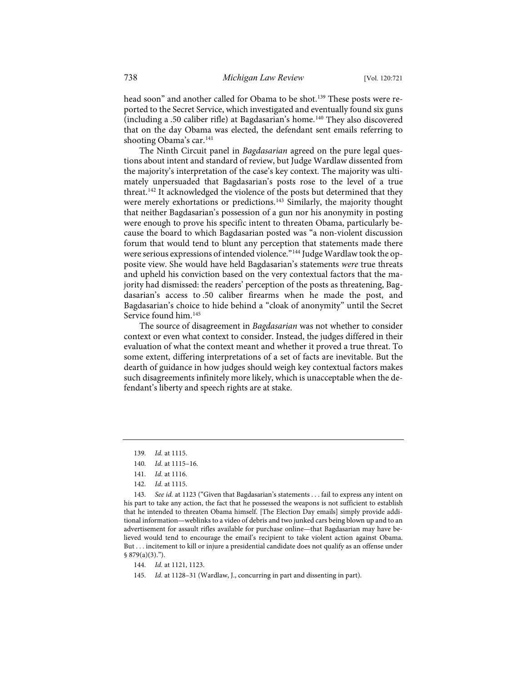head soon" and another called for Obama to be shot.<sup>[139](#page-18-0)</sup> These posts were reported to the Secret Service, which investigated and eventually found six guns (including a .50 caliber rifle) at Bagdasarian's home.[140](#page-18-1) They also discovered that on the day Obama was elected, the defendant sent emails referring to shooting Obama's car.<sup>[141](#page-18-2)</sup>

The Ninth Circuit panel in *Bagdasarian* agreed on the pure legal questions about intent and standard of review, but Judge Wardlaw dissented from the majority's interpretation of the case's key context. The majority was ultimately unpersuaded that Bagdasarian's posts rose to the level of a true threat.<sup>[142](#page-18-3)</sup> It acknowledged the violence of the posts but determined that they were merely exhortations or predictions.<sup>[143](#page-18-4)</sup> Similarly, the majority thought that neither Bagdasarian's possession of a gun nor his anonymity in posting were enough to prove his specific intent to threaten Obama, particularly because the board to which Bagdasarian posted was "a non-violent discussion forum that would tend to blunt any perception that statements made there were serious expressions of intended violence."<sup>[144](#page-18-5)</sup> Judge Wardlaw took the opposite view. She would have held Bagdasarian's statements *were* true threats and upheld his conviction based on the very contextual factors that the majority had dismissed: the readers' perception of the posts as threatening, Bagdasarian's access to .50 caliber firearms when he made the post, and Bagdasarian's choice to hide behind a "cloak of anonymity" until the Secret Service found him.<sup>[145](#page-18-6)</sup>

The source of disagreement in *Bagdasarian* was not whether to consider context or even what context to consider. Instead, the judges differed in their evaluation of what the context meant and whether it proved a true threat. To some extent, differing interpretations of a set of facts are inevitable. But the dearth of guidance in how judges should weigh key contextual factors makes such disagreements infinitely more likely, which is unacceptable when the defendant's liberty and speech rights are at stake.

<span id="page-18-4"></span><span id="page-18-3"></span><span id="page-18-2"></span><span id="page-18-1"></span><span id="page-18-0"></span>143. *See id.* at 1123 ("Given that Bagdasarian's statements . . . fail to express any intent on his part to take any action, the fact that he possessed the weapons is not sufficient to establish that he intended to threaten Obama himself. [The Election Day emails] simply provide additional information—weblinks to a video of debris and two junked cars being blown up and to an advertisement for assault rifles available for purchase online—that Bagdasarian may have believed would tend to encourage the email's recipient to take violent action against Obama. But . . . incitement to kill or injure a presidential candidate does not qualify as an offense under  $$879(a)(3).$ ").

<span id="page-18-5"></span>144. *Id.* at 1121, 1123.

<span id="page-18-6"></span>145. *Id.* at 1128–31 (Wardlaw, J., concurring in part and dissenting in part).

<sup>139.</sup> *Id.* at 1115.

<sup>140.</sup> *Id.* at 1115–16.

<sup>141.</sup> *Id.* at 1116.

<sup>142.</sup> *Id.* at 1115.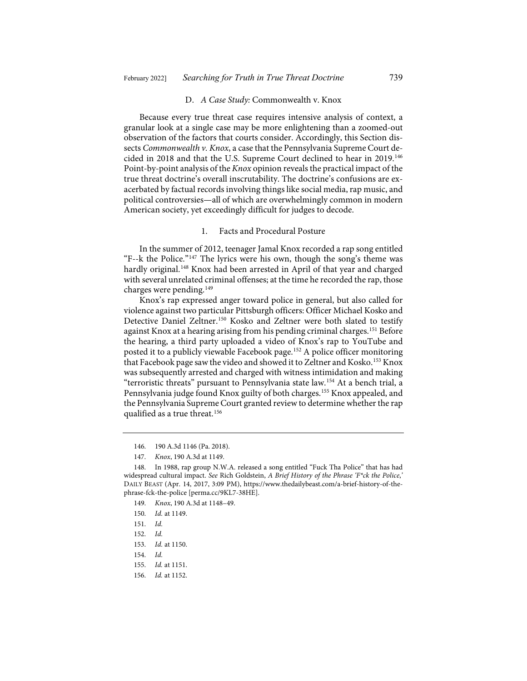#### D. *A Case Study:* Commonwealth v. Knox

Because every true threat case requires intensive analysis of context, a granular look at a single case may be more enlightening than a zoomed-out observation of the factors that courts consider. Accordingly, this Section dissects *Commonwealth v. Knox*, a case that the Pennsylvania Supreme Court decided in 2018 and that the U.S. Supreme Court declined to hear in 2019.[146](#page-19-0) Point-by-point analysis of the *Knox* opinion reveals the practical impact of the true threat doctrine's overall inscrutability. The doctrine's confusions are exacerbated by factual records involving things like social media, rap music, and political controversies—all of which are overwhelmingly common in modern American society, yet exceedingly difficult for judges to decode.

## 1. Facts and Procedural Posture

In the summer of 2012, teenager Jamal Knox recorded a rap song entitled "F--k the Police."[147](#page-19-1) The lyrics were his own, though the song's theme was hardly original.<sup>[148](#page-19-2)</sup> Knox had been arrested in April of that year and charged with several unrelated criminal offenses; at the time he recorded the rap, those charges were pending.[149](#page-19-3)

Knox's rap expressed anger toward police in general, but also called for violence against two particular Pittsburgh officers: Officer Michael Kosko and Detective Daniel Zeltner.<sup>[150](#page-19-4)</sup> Kosko and Zeltner were both slated to testify against Knox at a hearing arising from his pending criminal charges.<sup>[151](#page-19-5)</sup> Before the hearing, a third party uploaded a video of Knox's rap to YouTube and posted it to a publicly viewable Facebook page.<sup>[152](#page-19-6)</sup> A police officer monitoring that Facebook page saw the video and showed it to Zeltner and Kosko.<sup>[153](#page-19-7)</sup> Knox was subsequently arrested and charged with witness intimidation and making "terroristic threats" pursuant to Pennsylvania state law.[154](#page-19-8) At a bench trial, a Pennsylvania judge found Knox guilty of both charges.[155](#page-19-9) Knox appealed, and the Pennsylvania Supreme Court granted review to determine whether the rap qualified as a true threat.<sup>[156](#page-19-10)</sup>

<sup>146.</sup> 190 A.3d 1146 (Pa. 2018).

<sup>147.</sup> *Knox*, 190 A.3d at 1149.

<span id="page-19-4"></span><span id="page-19-3"></span><span id="page-19-2"></span><span id="page-19-1"></span><span id="page-19-0"></span><sup>148.</sup> In 1988, rap group N.W.A. released a song entitled "Fuck Tha Police" that has had widespread cultural impact. *See* Rich Goldstein, *A Brief History of the Phrase 'F\*ck the Police*,*'* DAILY BEAST (Apr. 14, 2017, 3:09 PM), [https://www.thedailybeast.com/a-brief-history-of-the](https://www.thedailybeast.com/a-brief-history-of-the-phrase-fck-the-police)[phrase-fck-the-police](https://www.thedailybeast.com/a-brief-history-of-the-phrase-fck-the-police) [\[perma.cc/9KL7-38HE\]](https://perma.cc/9KL7-38HE).

<sup>149.</sup> *Knox*, 190 A.3d at 1148–49.

<sup>150.</sup> *Id.* at 1149.

<span id="page-19-5"></span><sup>151.</sup> *Id.*

<span id="page-19-7"></span><span id="page-19-6"></span><sup>152.</sup> *Id.*

<sup>153.</sup> *Id.* at 1150.

<sup>154.</sup> *Id.*

<span id="page-19-10"></span><span id="page-19-9"></span><span id="page-19-8"></span><sup>155.</sup> *Id.* at 1151.

<sup>156.</sup> *Id.* at 1152.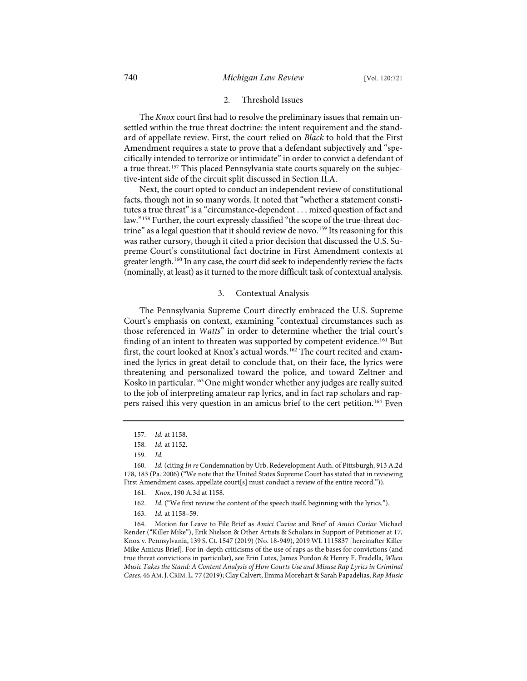### 2. Threshold Issues

The *Knox* court first had to resolve the preliminary issues that remain unsettled within the true threat doctrine: the intent requirement and the standard of appellate review. First, the court relied on *Black* to hold that the First Amendment requires a state to prove that a defendant subjectively and "specifically intended to terrorize or intimidate" in order to convict a defendant of a true threat.[157](#page-20-0) This placed Pennsylvania state courts squarely on the subjective-intent side of the circuit split discussed in Section II.A.

Next, the court opted to conduct an independent review of constitutional facts, though not in so many words. It noted that "whether a statement constitutes a true threat" is a "circumstance-dependent . . . mixed question of fact and law."[158](#page-20-1) Further, the court expressly classified "the scope of the true-threat doc-trine" as a legal question that it should review de novo.<sup>[159](#page-20-2)</sup> Its reasoning for this was rather cursory, though it cited a prior decision that discussed the U.S. Supreme Court's constitutional fact doctrine in First Amendment contexts at greater length.[160](#page-20-3) In any case, the court did seek to independently review the facts (nominally, at least) as it turned to the more difficult task of contextual analysis.

# <span id="page-20-9"></span><span id="page-20-8"></span>3. Contextual Analysis

The Pennsylvania Supreme Court directly embraced the U.S. Supreme Court's emphasis on context, examining "contextual circumstances such as those referenced in *Watts*" in order to determine whether the trial court's finding of an intent to threaten was supported by competent evidence.<sup>[161](#page-20-4)</sup> But first, the court looked at Knox's actual words.<sup>[162](#page-20-5)</sup> The court recited and examined the lyrics in great detail to conclude that, on their face, the lyrics were threatening and personalized toward the police, and toward Zeltner and Kosko in particular.<sup>[163](#page-20-6)</sup> One might wonder whether any judges are really suited to the job of interpreting amateur rap lyrics, and in fact rap scholars and rappers raised this very question in an amicus brief to the cert petition.[164](#page-20-7) Even

<sup>157.</sup> *Id.* at 1158.

<sup>158.</sup> *Id.* at 1152.

<sup>159.</sup> *Id.*

<span id="page-20-4"></span><span id="page-20-3"></span><span id="page-20-2"></span><span id="page-20-1"></span><span id="page-20-0"></span><sup>160.</sup> *Id.* (citing *In re* Condemnation by Urb. Redevelopment Auth. of Pittsburgh, 913 A.2d 178, 183 (Pa. 2006) ("We note that the United States Supreme Court has stated that in reviewing First Amendment cases, appellate court[s] must conduct a review of the entire record.")).

<sup>161.</sup> *Knox*, 190 A.3d at 1158.

<sup>162.</sup> *Id.* ("We first review the content of the speech itself, beginning with the lyrics.").

<sup>163.</sup> *Id.* at 1158–59.

<span id="page-20-7"></span><span id="page-20-6"></span><span id="page-20-5"></span><sup>164.</sup> Motion for Leave to File Brief as *Amici Curiae* and Brief of *Amici Curiae* Michael Render ("Killer Mike"), Erik Nielson & Other Artists & Scholars in Support of Petitioner at 17, Knox v. Pennsylvania, 139 S. Ct. 1547 (2019) (No. 18-949), 2019 WL 1115837 [hereinafter Killer Mike Amicus Brief]. For in-depth criticisms of the use of raps as the bases for convictions (and true threat convictions in particular), see Erin Lutes, James Purdon & Henry F. Fradella, *When Music Takes the Stand: A Content Analysis of How Courts Use and Misuse Rap Lyrics in Criminal Cases*, 46 AM.J.CRIM. L. 77 (2019); Clay Calvert, Emma Morehart & Sarah Papadelias, *Rap Music*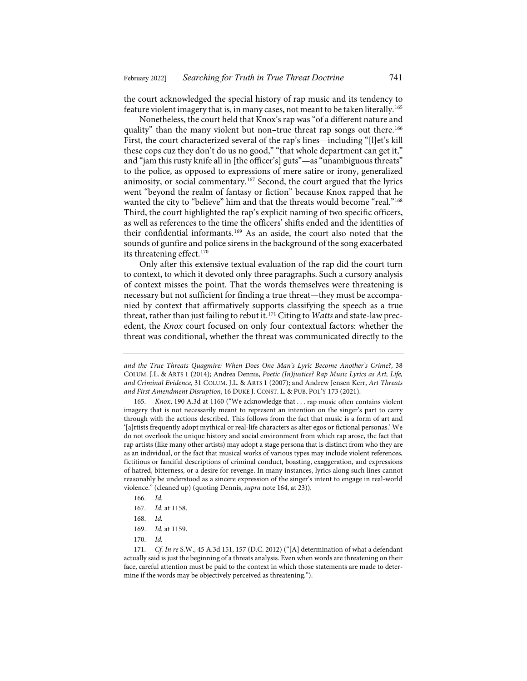the court acknowledged the special history of rap music and its tendency to feature violent imagery that is, in many cases, not meant to be taken literally.[165](#page-21-0)

Nonetheless, the court held that Knox's rap was "of a different nature and quality" than the many violent but non–true threat rap songs out there.<sup>[166](#page-21-1)</sup> First, the court characterized several of the rap's lines—including "[l]et's kill these cops cuz they don't do us no good," "that whole department can get it," and "jam this rusty knife all in [the officer's] guts"—as "unambiguous threats" to the police, as opposed to expressions of mere satire or irony, generalized animosity, or social commentary.<sup>[167](#page-21-2)</sup> Second, the court argued that the lyrics went "beyond the realm of fantasy or fiction" because Knox rapped that he wanted the city to "believe" him and that the threats would become "real."<sup>[168](#page-21-3)</sup> Third, the court highlighted the rap's explicit naming of two specific officers, as well as references to the time the officers' shifts ended and the identities of their confidential informants.[169](#page-21-4) As an aside, the court also noted that the sounds of gunfire and police sirens in the background of the song exacerbated its threatening effect.<sup>[170](#page-21-5)</sup>

Only after this extensive textual evaluation of the rap did the court turn to context, to which it devoted only three paragraphs. Such a cursory analysis of context misses the point. That the words themselves were threatening is necessary but not sufficient for finding a true threat—they must be accompanied by context that affirmatively supports classifying the speech as a true threat, rather than just failing to rebut it.[171](#page-21-6) Citing to *Watts* and state-law precedent, the *Knox* court focused on only four contextual factors: whether the threat was conditional, whether the threat was communicated directly to the

<span id="page-21-0"></span>165. *Knox*, 190 A.3d at 1160 ("We acknowledge that . . . rap music often contains violent imagery that is not necessarily meant to represent an intention on the singer's part to carry through with the actions described. This follows from the fact that music is a form of art and '[a]rtists frequently adopt mythical or real-life characters as alter egos or fictional personas.' We do not overlook the unique history and social environment from which rap arose, the fact that rap artists (like many other artists) may adopt a stage persona that is distinct from who they are as an individual, or the fact that musical works of various types may include violent references, fictitious or fanciful descriptions of criminal conduct, boasting, exaggeration, and expressions of hatred, bitterness, or a desire for revenge. In many instances, lyrics along such lines cannot reasonably be understood as a sincere expression of the singer's intent to engage in real-world violence." (cleaned up) (quoting Dennis, *supra* not[e 164,](#page-20-8) at 23)).

- 166. *Id.*
- 167. *Id.* at 1158.
- 168. *Id.*
- 169. *Id.* at 1159.
- 170. *Id.*

*and the True Threats Quagmire: When Does One Man's Lyric Become Another's Crime?*, 38 COLUM. J.L. & ARTS 1 (2014); Andrea Dennis, *Poetic (In)justice? Rap Music Lyrics as Art, Life, and Criminal Evidence*, 31 COLUM. J.L. & ARTS 1 (2007); and Andrew Jensen Kerr, *Art Threats and First Amendment Disruption*, 16 DUKE J. CONST. L. & PUB. POL'Y 173 (2021).

<span id="page-21-6"></span><span id="page-21-5"></span><span id="page-21-4"></span><span id="page-21-3"></span><span id="page-21-2"></span><span id="page-21-1"></span><sup>171.</sup> *Cf. In re* S.W., 45 A.3d 151, 157 (D.C. 2012) ("[A] determination of what a defendant actually said is just the beginning of a threats analysis. Even when words are threatening on their face, careful attention must be paid to the context in which those statements are made to determine if the words may be objectively perceived as threatening.").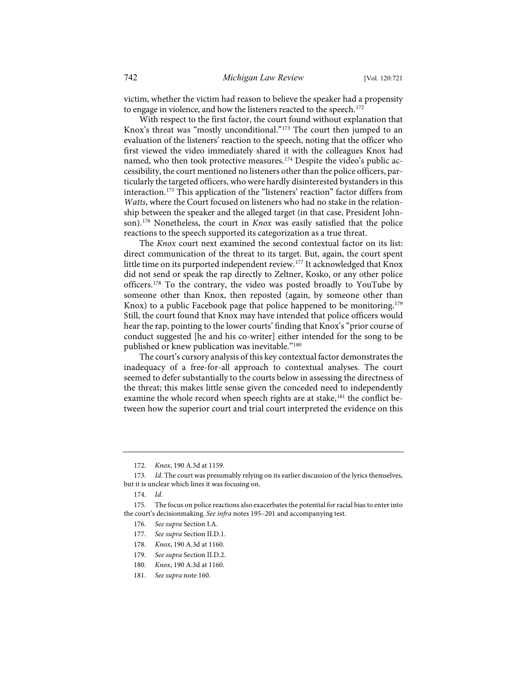victim, whether the victim had reason to believe the speaker had a propensity to engage in violence, and how the listeners reacted to the speech.<sup>[172](#page-22-0)</sup>

With respect to the first factor, the court found without explanation that Knox's threat was "mostly unconditional."[173](#page-22-1) The court then jumped to an evaluation of the listeners' reaction to the speech, noting that the officer who first viewed the video immediately shared it with the colleagues Knox had named, who then took protective measures.<sup>[174](#page-22-2)</sup> Despite the video's public accessibility, the court mentioned no listeners other than the police officers, particularly the targeted officers, who were hardly disinterested bystanders in this interaction.[175](#page-22-3) This application of the "listeners' reaction" factor differs from *Watts*, where the Court focused on listeners who had no stake in the relationship between the speaker and the alleged target (in that case, President Johnson)[.176](#page-22-4) Nonetheless, the court in *Knox* was easily satisfied that the police reactions to the speech supported its categorization as a true threat.

The *Knox* court next examined the second contextual factor on its list: direct communication of the threat to its target. But, again, the court spent little time on its purported independent review.<sup>[177](#page-22-5)</sup> It acknowledged that Knox did not send or speak the rap directly to Zeltner, Kosko, or any other police officers.[178](#page-22-6) To the contrary, the video was posted broadly to YouTube by someone other than Knox, then reposted (again, by someone other than Knox) to a public Facebook page that police happened to be monitoring.<sup>[179](#page-22-7)</sup> Still, the court found that Knox may have intended that police officers would hear the rap, pointing to the lower courts' finding that Knox's "prior course of conduct suggested [he and his co-writer] either intended for the song to be published or knew publication was inevitable."<sup>[180](#page-22-8)</sup>

The court's cursory analysis of this key contextual factor demonstrates the inadequacy of a free-for-all approach to contextual analyses. The court seemed to defer substantially to the courts below in assessing the directness of the threat; this makes little sense given the conceded need to independently examine the whole record when speech rights are at stake,<sup>[181](#page-22-9)</sup> the conflict between how the superior court and trial court interpreted the evidence on this

<span id="page-22-7"></span><span id="page-22-6"></span><span id="page-22-5"></span><span id="page-22-4"></span><span id="page-22-3"></span><span id="page-22-2"></span>175. The focus on police reactions also exacerbates the potential for racial bias to enter into the court's decisionmaking. *See infra* note[s 195–](#page-25-0)[201](#page-25-1) and accompanying test.

- 177. *See supra* Section II.D.1.
- 178. *Knox*, 190 A.3d at 1160.
- 179. *See supra* Section II.D.2.
- <span id="page-22-8"></span>180. *Knox*, 190 A.3d at 1160.
- <span id="page-22-9"></span>181. *See supra* not[e 160.](#page-20-9)

<sup>172.</sup> *Knox*, 190 A.3d at 1159.

<span id="page-22-1"></span><span id="page-22-0"></span><sup>173.</sup> *Id.* The court was presumably relying on its earlier discussion of the lyrics themselves, but it is unclear which lines it was focusing on.

<sup>174.</sup> *Id.*

<sup>176.</sup> *See supra* Section I.A.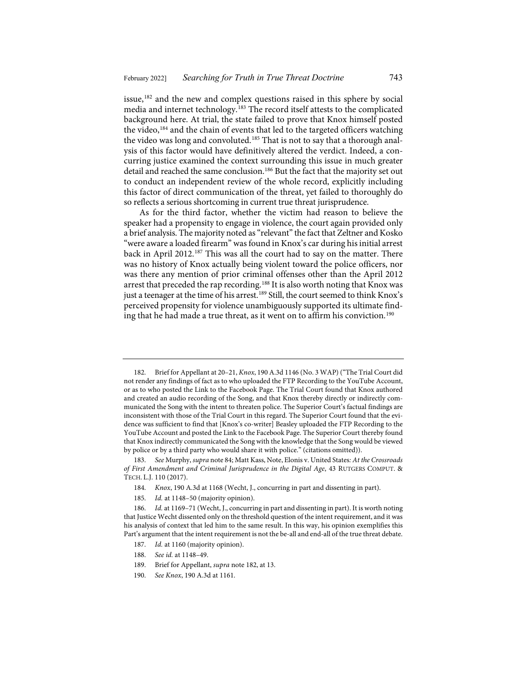<span id="page-23-0"></span>issue,[182](#page-23-1) and the new and complex questions raised in this sphere by social media and internet technology.[183](#page-23-2) The record itself attests to the complicated background here. At trial, the state failed to prove that Knox himself posted the video,<sup>[184](#page-23-3)</sup> and the chain of events that led to the targeted officers watching the video was long and convoluted.<sup>[185](#page-23-4)</sup> That is not to say that a thorough analysis of this factor would have definitively altered the verdict. Indeed, a concurring justice examined the context surrounding this issue in much greater detail and reached the same conclusion.<sup>[186](#page-23-5)</sup> But the fact that the majority set out to conduct an independent review of the whole record, explicitly including this factor of direct communication of the threat, yet failed to thoroughly do so reflects a serious shortcoming in current true threat jurisprudence.

As for the third factor, whether the victim had reason to believe the speaker had a propensity to engage in violence, the court again provided only a brief analysis. The majority noted as "relevant" the fact that Zeltner and Kosko "were aware a loaded firearm" was found in Knox's car during his initial arrest back in April 2012.<sup>[187](#page-23-6)</sup> This was all the court had to say on the matter. There was no history of Knox actually being violent toward the police officers, nor was there any mention of prior criminal offenses other than the April 2012 arrest that preceded the rap recording.<sup>[188](#page-23-7)</sup> It is also worth noting that Knox was just a teenager at the time of his arrest.<sup>[189](#page-23-8)</sup> Still, the court seemed to think Knox's perceived propensity for violence unambiguously supported its ultimate find-ing that he had made a true threat, as it went on to affirm his conviction.<sup>[190](#page-23-9)</sup>

- 188. *See id.* at 1148–49.
- 189. Brief for Appellant, *supra* not[e 182,](#page-23-0) at 13.
- <span id="page-23-9"></span><span id="page-23-8"></span>190. *See Knox*, 190 A.3d at 1161.

<span id="page-23-1"></span><sup>182.</sup> Brief for Appellant at 20–21, *Knox*, 190 A.3d 1146 (No. 3 WAP) ("The Trial Court did not render any findings of fact as to who uploaded the FTP Recording to the YouTube Account, or as to who posted the Link to the Facebook Page. The Trial Court found that Knox authored and created an audio recording of the Song, and that Knox thereby directly or indirectly communicated the Song with the intent to threaten police. The Superior Court's factual findings are inconsistent with those of the Trial Court in this regard. The Superior Court found that the evidence was sufficient to find that [Knox's co-writer] Beasley uploaded the FTP Recording to the YouTube Account and posted the Link to the Facebook Page. The Superior Court thereby found that Knox indirectly communicated the Song with the knowledge that the Song would be viewed by police or by a third party who would share it with police." (citations omitted)).

<span id="page-23-2"></span><sup>183.</sup> *See* Murphy, *supra* not[e 84;](#page-11-7) Matt Kass, Note, Elonis v. United States*: At the Crossroads of First Amendment and Criminal Jurisprudence in the Digital Age*, 43 RUTGERS COMPUT. & TECH. L.J. 110 (2017).

<sup>184.</sup> *Knox*, 190 A.3d at 1168 (Wecht, J., concurring in part and dissenting in part).

<sup>185.</sup> *Id.* at 1148–50 (majority opinion).

<span id="page-23-7"></span><span id="page-23-6"></span><span id="page-23-5"></span><span id="page-23-4"></span><span id="page-23-3"></span><sup>186.</sup> *Id.* at 1169–71 (Wecht, J., concurring in part and dissenting in part). It is worth noting that Justice Wecht dissented only on the threshold question of the intent requirement, and it was his analysis of context that led him to the same result. In this way, his opinion exemplifies this Part's argument that the intent requirement is not the be-all and end-all of the true threat debate.

<sup>187.</sup> *Id.* at 1160 (majority opinion).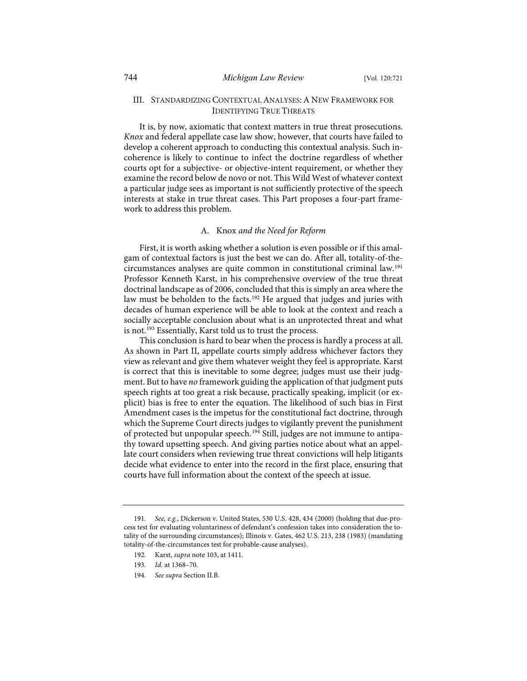# III. STANDARDIZING CONTEXTUAL ANALYSES: A NEW FRAMEWORK FOR IDENTIFYING TRUE THREATS

It is, by now, axiomatic that context matters in true threat prosecutions. *Knox* and federal appellate case law show, however, that courts have failed to develop a coherent approach to conducting this contextual analysis. Such incoherence is likely to continue to infect the doctrine regardless of whether courts opt for a subjective- or objective-intent requirement, or whether they examine the record below de novo or not. This Wild West of whatever context a particular judge sees as important is not sufficiently protective of the speech interests at stake in true threat cases. This Part proposes a four-part framework to address this problem.

# A. Knox *and the Need for Reform*

First, it is worth asking whether a solution is even possible or if this amalgam of contextual factors is just the best we can do. After all, totality-of-thecircumstances analyses are quite common in constitutional criminal law.[191](#page-24-0) Professor Kenneth Karst, in his comprehensive overview of the true threat doctrinal landscape as of 2006, concluded that this is simply an area where the law must be beholden to the facts.<sup>192</sup> He argued that judges and juries with decades of human experience will be able to look at the context and reach a socially acceptable conclusion about what is an unprotected threat and what is not.<sup>[193](#page-24-2)</sup> Essentially, Karst told us to trust the process.

This conclusion is hard to bear when the process is hardly a process at all. As shown in Part II, appellate courts simply address whichever factors they view as relevant and give them whatever weight they feel is appropriate. Karst is correct that this is inevitable to some degree; judges must use their judgment. But to have *no* framework guiding the application of that judgment puts speech rights at too great a risk because, practically speaking, implicit (or explicit) bias is free to enter the equation. The likelihood of such bias in First Amendment cases is the impetus for the constitutional fact doctrine, through which the Supreme Court directs judges to vigilantly prevent the punishment of protected but unpopular speech.<sup>[194](#page-24-3)</sup> Still, judges are not immune to antipathy toward upsetting speech. And giving parties notice about what an appellate court considers when reviewing true threat convictions will help litigants decide what evidence to enter into the record in the first place, ensuring that courts have full information about the context of the speech at issue.

<span id="page-24-3"></span>194. *See supra* Section II.B.

<span id="page-24-2"></span><span id="page-24-1"></span><span id="page-24-0"></span><sup>191.</sup> *See, e.g.*, Dickerson v. United States, 530 U.S. 428, 434 (2000) (holding that due-process test for evaluating voluntariness of defendant's confession takes into consideration the totality of the surrounding circumstances); Illinois v. Gates, 462 U.S. 213, 238 (1983) (mandating totality-of-the-circumstances test for probable-cause analyses).

<sup>192.</sup> Karst, *supra* not[e 103,](#page-14-6) at 1411.

<sup>193.</sup> *Id.* at 1368–70.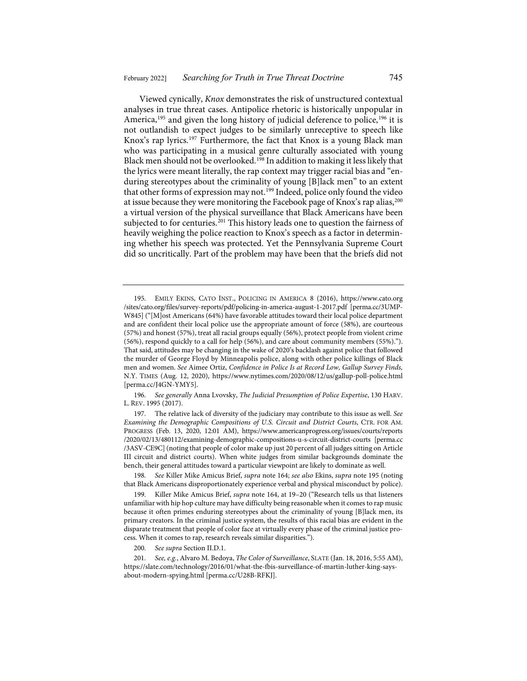<span id="page-25-0"></span>Viewed cynically, *Knox* demonstrates the risk of unstructured contextual analyses in true threat cases. Antipolice rhetoric is historically unpopular in America,<sup>[195](#page-25-2)</sup> and given the long history of judicial deference to police,<sup>[196](#page-25-3)</sup> it is not outlandish to expect judges to be similarly unreceptive to speech like Knox's rap lyrics[.197](#page-25-4) Furthermore, the fact that Knox is a young Black man who was participating in a musical genre culturally associated with young Black men should not be overlooked.[198](#page-25-5) In addition to making it less likely that the lyrics were meant literally, the rap context may trigger racial bias and "enduring stereotypes about the criminality of young [B]lack men" to an extent that other forms of expression may not.<sup>[199](#page-25-6)</sup> Indeed, police only found the video at issue because they were monitoring the Facebook page of Knox's rap alias, <sup>[200](#page-25-7)</sup> a virtual version of the physical surveillance that Black Americans have been subjected to for centuries.<sup>[201](#page-25-8)</sup> This history leads one to question the fairness of heavily weighing the police reaction to Knox's speech as a factor in determining whether his speech was protected. Yet the Pennsylvania Supreme Court did so uncritically. Part of the problem may have been that the briefs did not

<span id="page-25-3"></span>196. *See generally* Anna Lvovsky, *The Judicial Presumption of Police Expertise*, 130 HARV. L. REV. 1995 (2017).

<span id="page-25-4"></span>197. The relative lack of diversity of the judiciary may contribute to this issue as well. *See Examining the Demographic Compositions of U.S. Circuit and District Courts*, CTR. FOR AM. PROGRESS (Feb. 13, 2020, 12:01 AM), [https://www.americanprogress.org/issues/courts/reports](https://www.americanprogress.org/issues/courts/reports/2020/02/13/480112/examining-demographic-compositions-u-s-circuit-district-courts/) [/2020/02/13/480112/examining-demographic-compositions-u-s-circuit-district-courts](https://www.americanprogress.org/issues/courts/reports/2020/02/13/480112/examining-demographic-compositions-u-s-circuit-district-courts/) [\[perma.cc](https://perma.cc/3ASV-CE9C) [/3ASV-CE9C\]](https://perma.cc/3ASV-CE9C)(noting that people of color make up just 20 percent of all judges sitting on Article III circuit and district courts). When white judges from similar backgrounds dominate the bench, their general attitudes toward a particular viewpoint are likely to dominate as well.

<span id="page-25-5"></span>198. *See* Killer Mike Amicus Brief, *supra* not[e 164;](#page-20-8) *see also* Ekins, *supra* note [195](#page-25-0) (noting that Black Americans disproportionately experience verbal and physical misconduct by police).

<span id="page-25-6"></span>199. Killer Mike Amicus Brief, *supra* note [164,](#page-20-8) at 19–20 ("Research tells us that listeners unfamiliar with hip hop culture may have difficulty being reasonable when it comes to rap music because it often primes enduring stereotypes about the criminality of young [B]lack men, its primary creators. In the criminal justice system, the results of this racial bias are evident in the disparate treatment that people of color face at virtually every phase of the criminal justice process. When it comes to rap, research reveals similar disparities.").

200. *See supra* Section II.D.1.

<span id="page-25-8"></span><span id="page-25-7"></span>201. *See, e.g.*, Alvaro M. Bedoya, *The Color of Surveillance*, SLATE (Jan. 18, 2016, 5:55 AM), [https://slate.com/technology/2016/01/what-the-fbis-surveillance-of-martin-luther-king-says](https://slate.com/technology/2016/01/what-the-fbis-surveillance-of-martin-luther-king-says-about-modern-spying.html)[about-modern-spying.html](https://slate.com/technology/2016/01/what-the-fbis-surveillance-of-martin-luther-king-says-about-modern-spying.html) [\[perma.cc/U28B-RFKJ\]](https://perma.cc/U28B-RFKJ).

<span id="page-25-2"></span><span id="page-25-1"></span><sup>195.</sup> EMILY EKINS, CATO INST., POLICING IN AMERICA 8 (2016), [https://www.cato.org](https://www.cato.org/sites/cato.org/files/survey-reports/pdf/policing-in-america-august-1-2017.pdf) [/sites/cato.org/files/survey-reports/pdf/policing-in-america-august-1-2017.pdf](https://www.cato.org/sites/cato.org/files/survey-reports/pdf/policing-in-america-august-1-2017.pdf) [\[perma.cc/3UMP-](https://perma.cc/3UMP-W845)[W845\]](https://perma.cc/3UMP-W845) ("[M]ost Americans (64%) have favorable attitudes toward their local police department and are confident their local police use the appropriate amount of force (58%), are courteous (57%) and honest (57%), treat all racial groups equally (56%), protect people from violent crime (56%), respond quickly to a call for help (56%), and care about community members (55%)."). That said, attitudes may be changing in the wake of 2020's backlash against police that followed the murder of George Floyd by Minneapolis police, along with other police killings of Black men and women. *See* Aimee Ortiz, *Confidence in Police Is at Record Low, Gallup Survey Finds,*  N.Y. TIMES (Aug. 12, 2020),<https://www.nytimes.com/2020/08/12/us/gallup-poll-police.html> [\[perma.cc/J4GN-YMY5\]](https://perma.cc/J4GN-YMY5).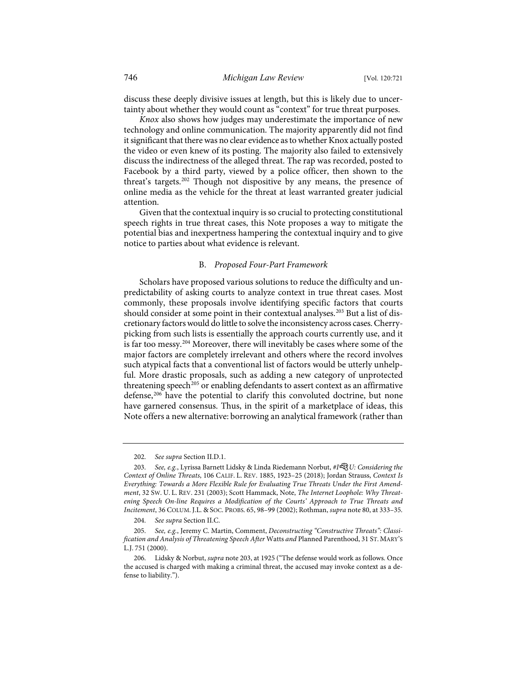discuss these deeply divisive issues at length, but this is likely due to uncertainty about whether they would count as "context" for true threat purposes.

*Knox* also shows how judges may underestimate the importance of new technology and online communication. The majority apparently did not find it significant that there was no clear evidence as to whether Knox actually posted the video or even knew of its posting. The majority also failed to extensively discuss the indirectness of the alleged threat. The rap was recorded, posted to Facebook by a third party, viewed by a police officer, then shown to the threat's targets.<sup>[202](#page-26-1)</sup> Though not dispositive by any means, the presence of online media as the vehicle for the threat at least warranted greater judicial attention.

Given that the contextual inquiry is so crucial to protecting constitutional speech rights in true threat cases, this Note proposes a way to mitigate the potential bias and inexpertness hampering the contextual inquiry and to give notice to parties about what evidence is relevant.

# <span id="page-26-0"></span>B. *Proposed Four-Part Framework*

Scholars have proposed various solutions to reduce the difficulty and unpredictability of asking courts to analyze context in true threat cases. Most commonly, these proposals involve identifying specific factors that courts should consider at some point in their contextual analyses.<sup>[203](#page-26-2)</sup> But a list of discretionary factors would do little to solve the inconsistency across cases.Cherrypicking from such lists is essentially the approach courts currently use, and it is far too messy.[204](#page-26-3) Moreover, there will inevitably be cases where some of the major factors are completely irrelevant and others where the record involves such atypical facts that a conventional list of factors would be utterly unhelpful. More drastic proposals, such as adding a new category of unprotected threatening speech<sup>[205](#page-26-4)</sup> or enabling defendants to assert context as an affirmative defense,<sup>[206](#page-26-5)</sup> have the potential to clarify this convoluted doctrine, but none have garnered consensus. Thus, in the spirit of a marketplace of ideas, this Note offers a new alternative: borrowing an analytical framework (rather than

<sup>202.</sup> *See supra* Section II.D.1.

<span id="page-26-2"></span><span id="page-26-1"></span><sup>203.</sup> *See, e.g.*, Lyrissa Barnett Lidsky & Linda Riedemann Norbut, *#IU: Considering the Context of Online Threats*, 106 CALIF. L. REV. 1885, 1923–25 (2018); Jordan Strauss, *Context Is Everything: Towards a More Flexible Rule for Evaluating True Threats Under the First Amendment*, 32 SW. U. L. REV. 231 (2003); Scott Hammack, Note, *The Internet Loophole: Why Threatening Speech On-line Requires a Modification of the Courts' Approach to True Threats and Incitement*, 36 COLUM. J.L. & SOC. PROBS. 65, 98–99 (2002); Rothman, *supra* not[e 80,](#page-11-8) at 333–35.

<sup>204.</sup> *See supra* Section II.C.

<span id="page-26-4"></span><span id="page-26-3"></span><sup>205.</sup> *See, e.g.*, Jeremy C. Martin, Comment, *Deconstructing "Constructive Threats": Classification and Analysis of Threatening Speech After* Watts *and* Planned Parenthood, 31 ST. MARY'S L.J. 751 (2000).

<span id="page-26-5"></span><sup>206.</sup> Lidsky & Norbut, *supra* not[e 203,](#page-26-0) at 1925 ("The defense would work as follows. Once the accused is charged with making a criminal threat, the accused may invoke context as a defense to liability.").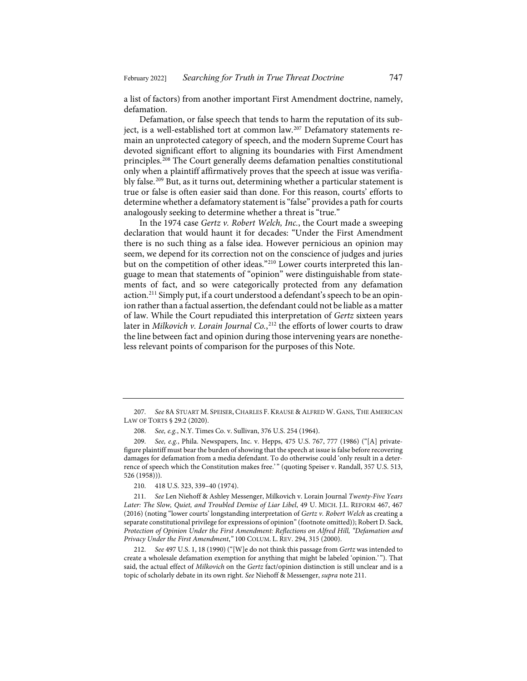a list of factors) from another important First Amendment doctrine, namely, defamation.

Defamation, or false speech that tends to harm the reputation of its sub-ject, is a well-established tort at common law.<sup>[207](#page-27-1)</sup> Defamatory statements remain an unprotected category of speech, and the modern Supreme Court has devoted significant effort to aligning its boundaries with First Amendment principles.[208](#page-27-2) The Court generally deems defamation penalties constitutional only when a plaintiff affirmatively proves that the speech at issue was verifiably false.[209](#page-27-3) But, as it turns out, determining whether a particular statement is true or false is often easier said than done. For this reason, courts' efforts to determine whether a defamatory statement is "false" provides a path for courts analogously seeking to determine whether a threat is "true."

<span id="page-27-0"></span>In the 1974 case *Gertz v. Robert Welch, Inc.*, the Court made a sweeping declaration that would haunt it for decades: "Under the First Amendment there is no such thing as a false idea. However pernicious an opinion may seem, we depend for its correction not on the conscience of judges and juries but on the competition of other ideas."<sup>210</sup> Lower courts interpreted this language to mean that statements of "opinion" were distinguishable from statements of fact, and so were categorically protected from any defamation action.[211](#page-27-5) Simply put, if a court understood a defendant's speech to be an opinion rather than a factual assertion, the defendant could not be liable as a matter of law. While the Court repudiated this interpretation of *Gertz* sixteen years later in *Milkovich v. Lorain Journal Co.*, [212](#page-27-6) the efforts of lower courts to draw the line between fact and opinion during those intervening years are nonetheless relevant points of comparison for the purposes of this Note.

<span id="page-27-1"></span><sup>207.</sup> *See* 8A STUART M. SPEISER, CHARLES F. KRAUSE & ALFRED W. GANS, THE AMERICAN LAW OF TORTS § 29:2 (2020).

<sup>208.</sup> *See, e.g.*, N.Y. Times Co. v. Sullivan, 376 U.S. 254 (1964).

<span id="page-27-3"></span><span id="page-27-2"></span><sup>209.</sup> *See, e.g.*, Phila. Newspapers, Inc. v. Hepps, 475 U.S. 767, 777 (1986) ("[A] privatefigure plaintiff must bear the burden of showing that the speech at issue is false before recovering damages for defamation from a media defendant. To do otherwise could 'only result in a deterrence of speech which the Constitution makes free.' " (quoting Speiser v. Randall, 357 U.S. 513, 526 (1958))).

<sup>210.</sup> 418 U.S. 323, 339–40 (1974).

<span id="page-27-5"></span><span id="page-27-4"></span><sup>211.</sup> *See* Len Niehoff & Ashley Messenger, Milkovich v. Lorain Journal *Twenty-Five Years Later: The Slow, Quiet, and Troubled Demise of Liar Libel*, 49 U. MICH. J.L. REFORM 467, 467 (2016) (noting "lower courts' longstanding interpretation of *Gertz v. Robert Welch* as creating a separate constitutional privilege for expressions of opinion" (footnote omitted)); Robert D. Sack, *Protection of Opinion Under the First Amendment: Reflections on Alfred Hill, "Defamation and Privacy Under the First Amendment*,*"* 100 COLUM. L. REV. 294, 315 (2000).

<span id="page-27-6"></span><sup>212.</sup> *See* 497 U.S. 1, 18 (1990) ("[W]e do not think this passage from *Gertz* was intended to create a wholesale defamation exemption for anything that might be labeled 'opinion.' "). That said, the actual effect of *Milkovich* on the *Gertz* fact/opinion distinction is still unclear and is a topic of scholarly debate in its own right. *See* Niehoff & Messenger, *supra* not[e 211.](#page-27-0)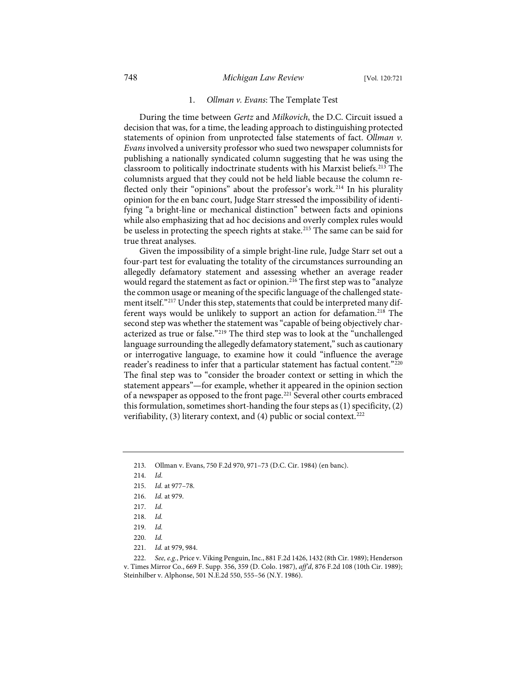### 1. *Ollman v. Evans*: The Template Test

During the time between *Gertz* and *Milkovich*, the D.C. Circuit issued a decision that was, for a time, the leading approach to distinguishing protected statements of opinion from unprotected false statements of fact. *Ollman v. Evans* involved a university professor who sued two newspaper columnists for publishing a nationally syndicated column suggesting that he was using the classroom to politically indoctrinate students with his Marxist beliefs.<sup>213</sup> The columnists argued that they could not be held liable because the column re-flected only their "opinions" about the professor's work.<sup>[214](#page-28-1)</sup> In his plurality opinion for the en banc court, Judge Starr stressed the impossibility of identifying "a bright-line or mechanical distinction" between facts and opinions while also emphasizing that ad hoc decisions and overly complex rules would be useless in protecting the speech rights at stake.<sup>[215](#page-28-2)</sup> The same can be said for true threat analyses.

Given the impossibility of a simple bright-line rule, Judge Starr set out a four-part test for evaluating the totality of the circumstances surrounding an allegedly defamatory statement and assessing whether an average reader would regard the statement as fact or opinion.<sup>[216](#page-28-3)</sup> The first step was to "analyze the common usage or meaning of the specific language of the challenged statement itself."[217](#page-28-4) Under this step, statements that could be interpreted many different ways would be unlikely to support an action for defamation.<sup>218</sup> The second step was whether the statement was "capable of being objectively characterized as true or false."[219](#page-28-6) The third step was to look at the "unchallenged language surrounding the allegedly defamatory statement," such as cautionary or interrogative language, to examine how it could "influence the average reader's readiness to infer that a particular statement has factual content."[220](#page-28-7) The final step was to "consider the broader context or setting in which the statement appears"—for example, whether it appeared in the opinion section of a newspaper as opposed to the front page.[221](#page-28-8) Several other courts embraced this formulation, sometimes short-handing the four steps as (1) specificity, (2) verifiability, (3) literary context, and (4) public or social context.<sup>[222](#page-28-9)</sup>

- <span id="page-28-2"></span>215. *Id.* at 977–78.
- <span id="page-28-3"></span>216. *Id.* at 979.
- <span id="page-28-4"></span>217. *Id.*
- 218. *Id.*
- 219. *Id.*
- 220. *Id.*
- 221. *Id.* at 979, 984.

<span id="page-28-9"></span><span id="page-28-8"></span><span id="page-28-7"></span><span id="page-28-6"></span><span id="page-28-5"></span>222. *See, e.g.*, Price v. Viking Penguin, Inc., 881 F.2d 1426, 1432 (8th Cir. 1989); Henderson v. Times Mirror Co., 669 F. Supp. 356, 359 (D. Colo. 1987), *aff'd*, 876 F.2d 108 (10th Cir. 1989); Steinhilber v. Alphonse, 501 N.E.2d 550, 555–56 (N.Y. 1986).

<span id="page-28-1"></span><span id="page-28-0"></span><sup>213.</sup> Ollman v. Evans, 750 F.2d 970, 971–73 (D.C. Cir. 1984) (en banc).

<sup>214.</sup> *Id.*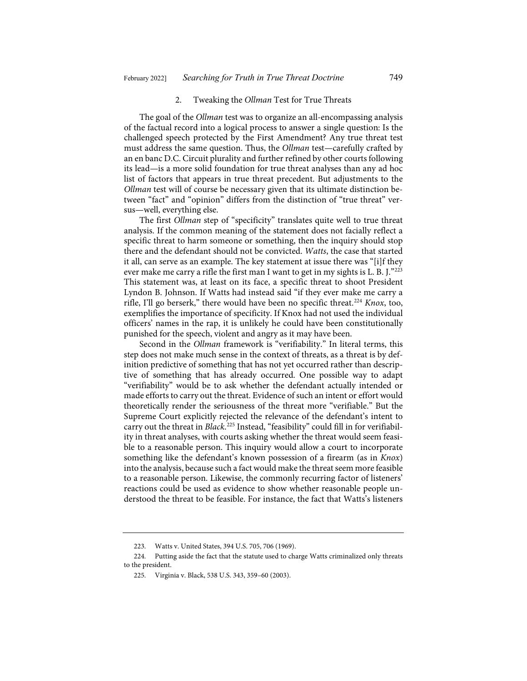#### 2. Tweaking the *Ollman* Test for True Threats

The goal of the *Ollman* test was to organize an all-encompassing analysis of the factual record into a logical process to answer a single question: Is the challenged speech protected by the First Amendment? Any true threat test must address the same question. Thus, the *Ollman* test—carefully crafted by an en banc D.C. Circuit plurality and further refined by other courts following its lead—is a more solid foundation for true threat analyses than any ad hoc list of factors that appears in true threat precedent. But adjustments to the *Ollman* test will of course be necessary given that its ultimate distinction between "fact" and "opinion" differs from the distinction of "true threat" versus—well, everything else.

The first *Ollman* step of "specificity" translates quite well to true threat analysis. If the common meaning of the statement does not facially reflect a specific threat to harm someone or something, then the inquiry should stop there and the defendant should not be convicted. *Watts*, the case that started it all, can serve as an example. The key statement at issue there was "[i]f they ever make me carry a rifle the first man I want to get in my sights is L. B. J."[223](#page-29-0) This statement was, at least on its face, a specific threat to shoot President Lyndon B. Johnson. If Watts had instead said "if they ever make me carry a rifle, I'll go berserk," there would have been no specific threat[.224](#page-29-1) *Knox*, too, exemplifies the importance of specificity. If Knox had not used the individual officers' names in the rap, it is unlikely he could have been constitutionally punished for the speech, violent and angry as it may have been.

Second in the *Ollman* framework is "verifiability." In literal terms, this step does not make much sense in the context of threats, as a threat is by definition predictive of something that has not yet occurred rather than descriptive of something that has already occurred. One possible way to adapt "verifiability" would be to ask whether the defendant actually intended or made efforts to carry out the threat. Evidence of such an intent or effort would theoretically render the seriousness of the threat more "verifiable." But the Supreme Court explicitly rejected the relevance of the defendant's intent to carry out the threat in *Black*. [225](#page-29-2) Instead, "feasibility" could fill in for verifiability in threat analyses, with courts asking whether the threat would seem feasible to a reasonable person. This inquiry would allow a court to incorporate something like the defendant's known possession of a firearm (as in *Knox*) into the analysis, because such a fact would make the threat seem more feasible to a reasonable person. Likewise, the commonly recurring factor of listeners' reactions could be used as evidence to show whether reasonable people understood the threat to be feasible. For instance, the fact that Watts's listeners

<sup>223.</sup> Watts v. United States, 394 U.S. 705, 706 (1969).

<span id="page-29-2"></span><span id="page-29-1"></span><span id="page-29-0"></span><sup>224.</sup> Putting aside the fact that the statute used to charge Watts criminalized only threats to the president.

<sup>225.</sup> Virginia v. Black, 538 U.S. 343, 359–60 (2003).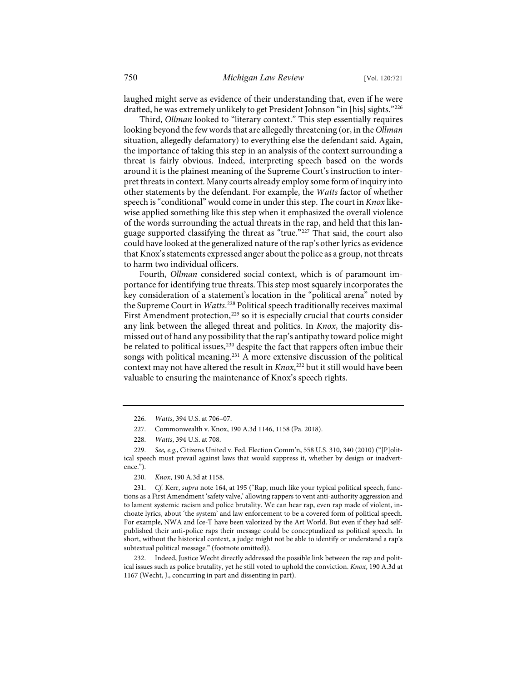laughed might serve as evidence of their understanding that, even if he were drafted, he was extremely unlikely to get President Johnson "in [his] sights."[226](#page-30-0)

Third, *Ollman* looked to "literary context." This step essentially requires looking beyond the few words that are allegedly threatening (or, in the *Ollman* situation, allegedly defamatory) to everything else the defendant said. Again, the importance of taking this step in an analysis of the context surrounding a threat is fairly obvious. Indeed, interpreting speech based on the words around it is the plainest meaning of the Supreme Court's instruction to interpret threats in context. Many courts already employ some form of inquiry into other statements by the defendant. For example, the *Watts* factor of whether speech is "conditional" would come in under this step. The court in *Knox* likewise applied something like this step when it emphasized the overall violence of the words surrounding the actual threats in the rap, and held that this language supported classifying the threat as "true."[227](#page-30-1) That said, the court also could have looked at the generalized nature of the rap's other lyrics as evidence that Knox's statements expressed anger about the police as a group, not threats to harm two individual officers.

Fourth, *Ollman* considered social context, which is of paramount importance for identifying true threats. This step most squarely incorporates the key consideration of a statement's location in the "political arena" noted by the Supreme Court in *Watts*. [228](#page-30-2) Political speech traditionally receives maximal First Amendment protection,<sup>[229](#page-30-3)</sup> so it is especially crucial that courts consider any link between the alleged threat and politics. In *Knox*, the majority dismissed out of hand any possibility that the rap's antipathy toward police might be related to political issues,<sup>[230](#page-30-4)</sup> despite the fact that rappers often imbue their songs with political meaning.<sup>[231](#page-30-5)</sup> A more extensive discussion of the political context may not have altered the result in *Knox*, [232](#page-30-6) but it still would have been valuable to ensuring the maintenance of Knox's speech rights.

230. *Knox*, 190 A.3d at 1158.

<span id="page-30-5"></span><span id="page-30-4"></span>231. *Cf.* Kerr, *supra* note [164,](#page-20-8) at 195 ("Rap, much like your typical political speech, functions as a First Amendment 'safety valve,' allowing rappers to vent anti-authority aggression and to lament systemic racism and police brutality. We can hear rap, even rap made of violent, inchoate lyrics, about 'the system' and law enforcement to be a covered form of political speech. For example, NWA and Ice-T have been valorized by the Art World. But even if they had selfpublished their anti-police raps their message could be conceptualized as political speech. In short, without the historical context, a judge might not be able to identify or understand a rap's subtextual political message." (footnote omitted)).

<span id="page-30-6"></span>Indeed, Justice Wecht directly addressed the possible link between the rap and political issues such as police brutality, yet he still voted to uphold the conviction. *Knox*, 190 A.3d at 1167 (Wecht, J., concurring in part and dissenting in part).

<sup>226.</sup> *Watts*, 394 U.S. at 706–07.

<sup>227.</sup> Commonwealth v. Knox, 190 A.3d 1146, 1158 (Pa. 2018).

<sup>228.</sup> *Watts*, 394 U.S. at 708.

<span id="page-30-3"></span><span id="page-30-2"></span><span id="page-30-1"></span><span id="page-30-0"></span><sup>229.</sup> *See, e.g.*, Citizens United v. Fed. Election Comm'n, 558 U.S. 310, 340 (2010) ("[P]olitical speech must prevail against laws that would suppress it, whether by design or inadvertence.").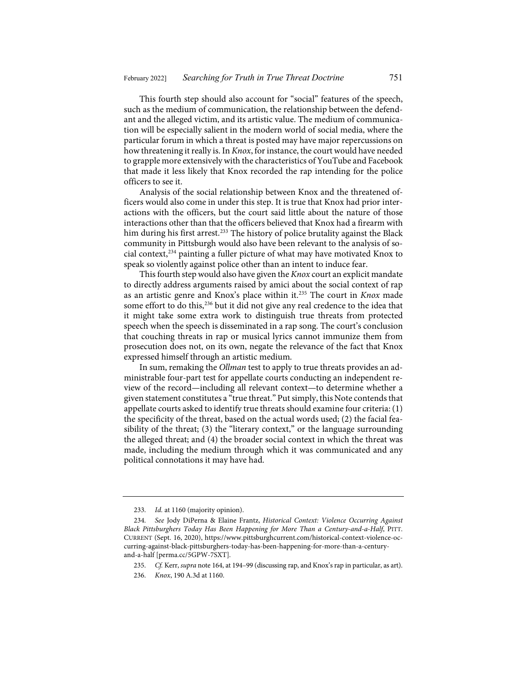This fourth step should also account for "social" features of the speech, such as the medium of communication, the relationship between the defendant and the alleged victim, and its artistic value. The medium of communication will be especially salient in the modern world of social media, where the particular forum in which a threat is posted may have major repercussions on how threatening it really is. In *Knox*, for instance, the court would have needed to grapple more extensively with the characteristics of YouTube and Facebook that made it less likely that Knox recorded the rap intending for the police officers to see it.

Analysis of the social relationship between Knox and the threatened officers would also come in under this step. It is true that Knox had prior interactions with the officers, but the court said little about the nature of those interactions other than that the officers believed that Knox had a firearm with him during his first arrest.<sup>[233](#page-31-0)</sup> The history of police brutality against the Black community in Pittsburgh would also have been relevant to the analysis of social context[,234](#page-31-1) painting a fuller picture of what may have motivated Knox to speak so violently against police other than an intent to induce fear.

This fourth step would also have given the *Knox* court an explicit mandate to directly address arguments raised by amici about the social context of rap as an artistic genre and Knox's place within it.[235](#page-31-2) The court in *Knox* made some effort to do this,<sup>[236](#page-31-3)</sup> but it did not give any real credence to the idea that it might take some extra work to distinguish true threats from protected speech when the speech is disseminated in a rap song. The court's conclusion that couching threats in rap or musical lyrics cannot immunize them from prosecution does not, on its own, negate the relevance of the fact that Knox expressed himself through an artistic medium.

In sum, remaking the *Ollman* test to apply to true threats provides an administrable four-part test for appellate courts conducting an independent review of the record—including all relevant context—to determine whether a given statement constitutes a "true threat." Put simply, this Note contends that appellate courts asked to identify true threats should examine four criteria: (1) the specificity of the threat, based on the actual words used; (2) the facial feasibility of the threat; (3) the "literary context," or the language surrounding the alleged threat; and (4) the broader social context in which the threat was made, including the medium through which it was communicated and any political connotations it may have had.

<sup>233.</sup> *Id.* at 1160 (majority opinion).

<span id="page-31-2"></span><span id="page-31-1"></span><span id="page-31-0"></span><sup>234.</sup> *See* Jody DiPerna & Elaine Frantz, *Historical Context: Violence Occurring Against Black Pittsburghers Today Has Been Happening for More Than a Century-and-a-Half*, PITT. CURRENT (Sept. 16, 2020), [https://www.pittsburghcurrent.com/historical-context-violence-oc](https://www.pittsburghcurrent.com/historical-context-violence-occurring-against-black-pittsburghers-today-has-been-happening-for-more-than-a-century-and-a-half)[curring-against-black-pittsburghers-today-has-been-happening-for-more-than-a-century](https://www.pittsburghcurrent.com/historical-context-violence-occurring-against-black-pittsburghers-today-has-been-happening-for-more-than-a-century-and-a-half)[and-a-half](https://www.pittsburghcurrent.com/historical-context-violence-occurring-against-black-pittsburghers-today-has-been-happening-for-more-than-a-century-and-a-half) [\[perma.cc/5GPW-7SXT\]](https://perma.cc/5GPW-7SXT).

<span id="page-31-3"></span><sup>235.</sup> *Cf.* Kerr, *supra* not[e 164,](#page-20-8) at 194–99 (discussing rap, and Knox's rap in particular, as art).

<sup>236.</sup> *Knox*, 190 A.3d at 1160.